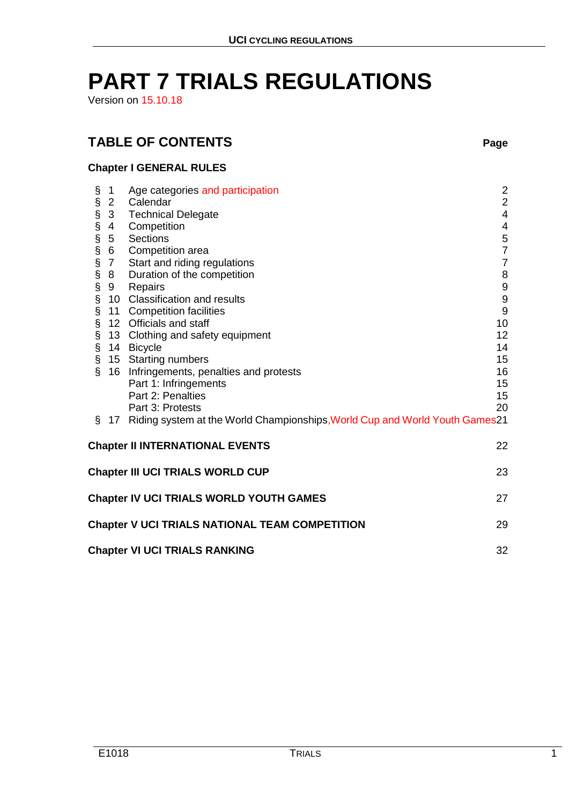# **PART 7 TRIALS REGULATIONS**

Version on 15.10.18

# **TABLE OF CONTENTS Page**

# **Chapter I GENERAL RULES**

|                                               | $\mathbf 1$                                                 | Age categories and participation                                                | $\overline{\mathbf{c}}$ |  |  |  |
|-----------------------------------------------|-------------------------------------------------------------|---------------------------------------------------------------------------------|-------------------------|--|--|--|
|                                               | $\overline{2}$                                              | Calendar                                                                        | $\overline{2}$          |  |  |  |
|                                               | $\overline{3}$                                              | <b>Technical Delegate</b>                                                       | $\overline{4}$          |  |  |  |
|                                               | $\overline{4}$                                              | Competition                                                                     | 4                       |  |  |  |
|                                               | 5                                                           | Sections                                                                        | $\frac{5}{7}$           |  |  |  |
|                                               | $6\phantom{.0}$                                             | Competition area                                                                |                         |  |  |  |
|                                               | 7 <sup>7</sup>                                              | Start and riding regulations                                                    | $\overline{7}$          |  |  |  |
|                                               | 8                                                           | Duration of the competition                                                     | $\bf 8$                 |  |  |  |
|                                               | 9                                                           | Repairs                                                                         | $\boldsymbol{9}$        |  |  |  |
|                                               |                                                             | 10 Classification and results                                                   | $\boldsymbol{9}$        |  |  |  |
|                                               |                                                             | 11 Competition facilities                                                       | $9\,$                   |  |  |  |
|                                               |                                                             | 12 Officials and staff                                                          | 10                      |  |  |  |
|                                               |                                                             | 13 Clothing and safety equipment                                                | 12 <sub>2</sub>         |  |  |  |
|                                               |                                                             | 14 Bicycle                                                                      | 14                      |  |  |  |
|                                               |                                                             | 15 Starting numbers                                                             | 15                      |  |  |  |
|                                               |                                                             | 16 Infringements, penalties and protests                                        | 16                      |  |  |  |
|                                               |                                                             | Part 1: Infringements                                                           | 15                      |  |  |  |
|                                               |                                                             | Part 2: Penalties                                                               | 15                      |  |  |  |
|                                               |                                                             | Part 3: Protests                                                                | 20                      |  |  |  |
| Ş.                                            |                                                             | 17 Riding system at the World Championships, World Cup and World Youth Games 21 |                         |  |  |  |
| <b>Chapter II INTERNATIONAL EVENTS</b><br>22  |                                                             |                                                                                 |                         |  |  |  |
| <b>Chapter III UCI TRIALS WORLD CUP</b><br>23 |                                                             |                                                                                 |                         |  |  |  |
|                                               |                                                             |                                                                                 |                         |  |  |  |
| Chapter IV UCI TRIALS WORLD YOUTH GAMES<br>27 |                                                             |                                                                                 |                         |  |  |  |
|                                               | <b>Chapter V UCI TRIALS NATIONAL TEAM COMPETITION</b><br>29 |                                                                                 |                         |  |  |  |
|                                               | <b>Chapter VI UCI TRIALS RANKING</b><br>32                  |                                                                                 |                         |  |  |  |
|                                               |                                                             |                                                                                 |                         |  |  |  |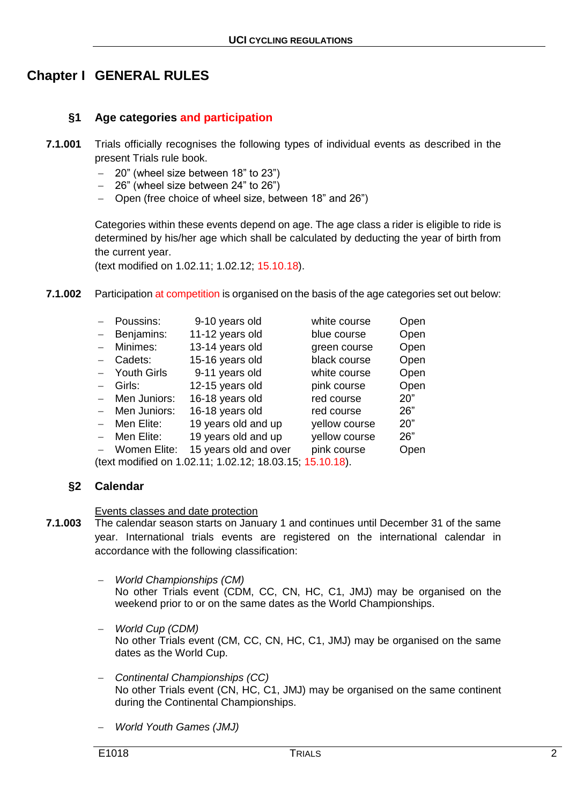# **Chapter I GENERAL RULES**

# **§1 Age categories and participation**

- **7.1.001** Trials officially recognises the following types of individual events as described in the present Trials rule book.
	- 20" (wheel size between 18" to 23")
	- 26" (wheel size between 24" to 26")
	- Open (free choice of wheel size, between 18" and 26")

Categories within these events depend on age. The age class a rider is eligible to ride is determined by his/her age which shall be calculated by deducting the year of birth from the current year.

(text modified on 1.02.11; 1.02.12; 15.10.18).

**7.1.002** Participation at competition is organised on the basis of the age categories set out below:

|                                                          | Poussins:          | 9-10 years old        | white course  | Open |  |  |
|----------------------------------------------------------|--------------------|-----------------------|---------------|------|--|--|
|                                                          | Benjamins:         | 11-12 years old       | blue course   | Open |  |  |
|                                                          | Minimes:           | 13-14 years old       | green course  | Open |  |  |
|                                                          | Cadets:            | 15-16 years old       | black course  | Open |  |  |
|                                                          | <b>Youth Girls</b> | 9-11 years old        | white course  | Open |  |  |
|                                                          | Girls:             | 12-15 years old       | pink course   | Open |  |  |
|                                                          | Men Juniors:       | 16-18 years old       | red course    | 20"  |  |  |
|                                                          | Men Juniors:       | 16-18 years old       | red course    | 26"  |  |  |
|                                                          | Men Elite:         | 19 years old and up   | yellow course | 20"  |  |  |
|                                                          | Men Elite:         | 19 years old and up   | yellow course | 26"  |  |  |
|                                                          | Women Elite:       | 15 years old and over | pink course   | Open |  |  |
| (text modified on 1.02.11; 1.02.12; 18.03.15; 15.10.18). |                    |                       |               |      |  |  |

# **§2 Calendar**

#### Events classes and date protection

- **7.1.003** The calendar season starts on January 1 and continues until December 31 of the same year. International trials events are registered on the international calendar in accordance with the following classification:
	- *World Championships (CM)* No other Trials event (CDM, CC, CN, HC, C1, JMJ) may be organised on the weekend prior to or on the same dates as the World Championships.
	- *World Cup (CDM)* No other Trials event (CM, CC, CN, HC, C1, JMJ) may be organised on the same dates as the World Cup.
	- *Continental Championships (CC)* No other Trials event (CN, HC, C1, JMJ) may be organised on the same continent during the Continental Championships.
	- *World Youth Games (JMJ)*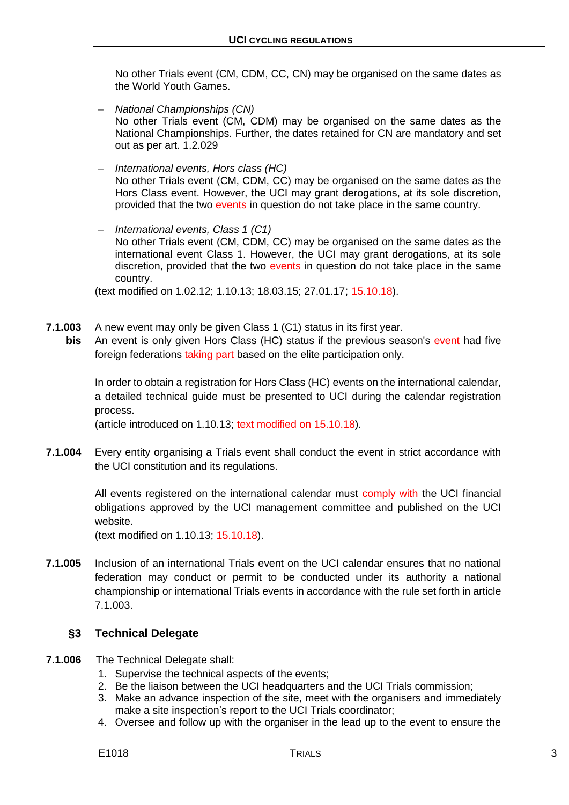No other Trials event (CM, CDM, CC, CN) may be organised on the same dates as the World Youth Games.

- *National Championships (CN)* No other Trials event (CM, CDM) may be organised on the same dates as the National Championships. Further, the dates retained for CN are mandatory and set out as per art. 1.2.029
- *International events, Hors class (HC)* No other Trials event (CM, CDM, CC) may be organised on the same dates as the Hors Class event. However, the UCI may grant derogations, at its sole discretion, provided that the two events in question do not take place in the same country.
- *International events, Class 1 (C1)* No other Trials event (CM, CDM, CC) may be organised on the same dates as the international event Class 1. However, the UCI may grant derogations, at its sole discretion, provided that the two events in question do not take place in the same country.

(text modified on 1.02.12; 1.10.13; 18.03.15; 27.01.17; 15.10.18).

- **7.1.003** A new event may only be given Class 1 (C1) status in its first year.
- **bis** An event is only given Hors Class (HC) status if the previous season's event had five foreign federations taking part based on the elite participation only.

In order to obtain a registration for Hors Class (HC) events on the international calendar, a detailed technical guide must be presented to UCI during the calendar registration process.

(article introduced on 1.10.13; text modified on 15.10.18).

**7.1.004** Every entity organising a Trials event shall conduct the event in strict accordance with the UCI constitution and its regulations.

> All events registered on the international calendar must comply with the UCI financial obligations approved by the UCI management committee and published on the UCI website.

(text modified on 1.10.13; 15.10.18).

**7.1.005** Inclusion of an international Trials event on the UCI calendar ensures that no national federation may conduct or permit to be conducted under its authority a national championship or international Trials events in accordance with the rule set forth in article 7.1.003.

# **§3 Technical Delegate**

- **7.1.006** The Technical Delegate shall:
	- 1. Supervise the technical aspects of the events;
	- 2. Be the liaison between the UCI headquarters and the UCI Trials commission;
	- 3. Make an advance inspection of the site, meet with the organisers and immediately make a site inspection's report to the UCI Trials coordinator;
	- 4. Oversee and follow up with the organiser in the lead up to the event to ensure the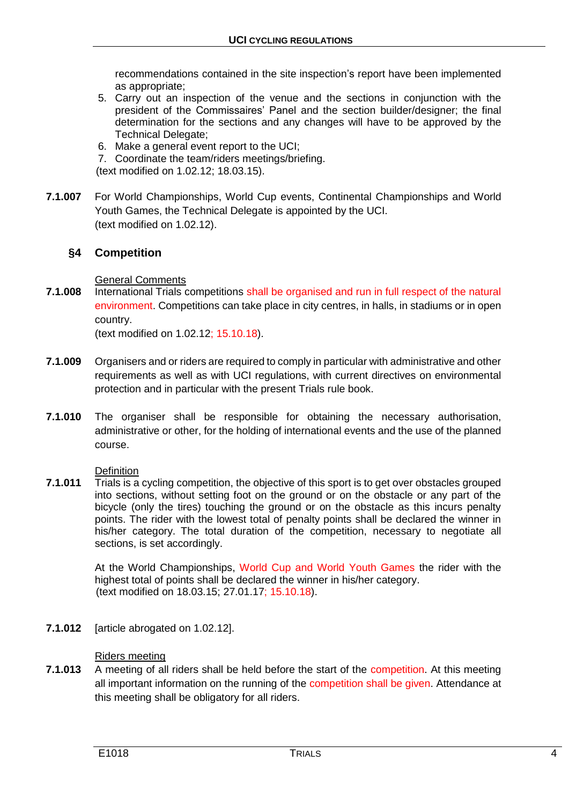recommendations contained in the site inspection's report have been implemented as appropriate;

- 5. Carry out an inspection of the venue and the sections in conjunction with the president of the Commissaires' Panel and the section builder/designer; the final determination for the sections and any changes will have to be approved by the Technical Delegate;
- 6. Make a general event report to the UCI;
- 7. Coordinate the team/riders meetings/briefing.
- (text modified on 1.02.12; 18.03.15).
- **7.1.007** For World Championships, World Cup events, Continental Championships and World Youth Games, the Technical Delegate is appointed by the UCI. (text modified on 1.02.12).

# **§4 Competition**

#### General Comments

**7.1.008** International Trials competitions shall be organised and run in full respect of the natural environment. Competitions can take place in city centres, in halls, in stadiums or in open country.

(text modified on 1.02.12; 15.10.18).

- **7.1.009** Organisers and or riders are required to comply in particular with administrative and other requirements as well as with UCI regulations, with current directives on environmental protection and in particular with the present Trials rule book.
- **7.1.010** The organiser shall be responsible for obtaining the necessary authorisation, administrative or other, for the holding of international events and the use of the planned course.

#### **Definition**

**7.1.011** Trials is a cycling competition, the objective of this sport is to get over obstacles grouped into sections, without setting foot on the ground or on the obstacle or any part of the bicycle (only the tires) touching the ground or on the obstacle as this incurs penalty points. The rider with the lowest total of penalty points shall be declared the winner in his/her category. The total duration of the competition, necessary to negotiate all sections, is set accordingly.

> At the World Championships, World Cup and World Youth Games the rider with the highest total of points shall be declared the winner in his/her category. (text modified on 18.03.15; 27.01.17; 15.10.18).

**7.1.012** [article abrogated on 1.02.12].

#### Riders meeting

**7.1.013** A meeting of all riders shall be held before the start of the competition. At this meeting all important information on the running of the competition shall be given. Attendance at this meeting shall be obligatory for all riders.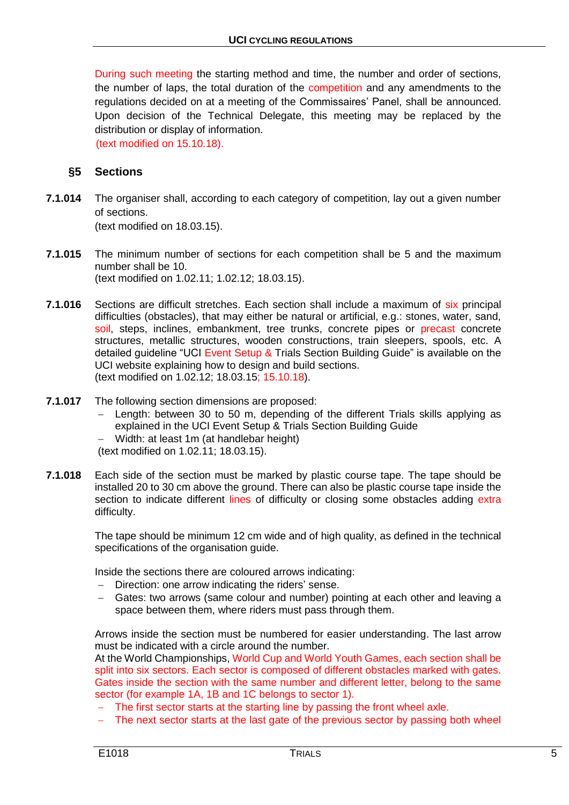During such meeting the starting method and time, the number and order of sections, the number of laps, the total duration of the competition and any amendments to the regulations decided on at a meeting of the Commissaires' Panel, shall be announced. Upon decision of the Technical Delegate, this meeting may be replaced by the distribution or display of information.

(text modified on 15.10.18).

# **§5 Sections**

- **7.1.014** The organiser shall, according to each category of competition, lay out a given number of sections. (text modified on 18.03.15).
- **7.1.015** The minimum number of sections for each competition shall be 5 and the maximum number shall be 10. (text modified on 1.02.11; 1.02.12; 18.03.15).
- **7.1.016** Sections are difficult stretches. Each section shall include a maximum of six principal difficulties (obstacles), that may either be natural or artificial, e.g.: stones, water, sand, soil, steps, inclines, embankment, tree trunks, concrete pipes or precast concrete structures, metallic structures, wooden constructions, train sleepers, spools, etc. A detailed guideline "UCI Event Setup & Trials Section Building Guide" is available on the UCI website explaining how to design and build sections. (text modified on 1.02.12; 18.03.15; 15.10.18).
- **7.1.017** The following section dimensions are proposed:
	- Length: between 30 to 50 m, depending of the different Trials skills applying as explained in the UCI Event Setup & Trials Section Building Guide
	- Width: at least 1m (at handlebar height)
	- (text modified on 1.02.11; 18.03.15).
- **7.1.018** Each side of the section must be marked by plastic course tape. The tape should be installed 20 to 30 cm above the ground. There can also be plastic course tape inside the section to indicate different lines of difficulty or closing some obstacles adding extra difficulty.

The tape should be minimum 12 cm wide and of high quality, as defined in the technical specifications of the organisation guide.

Inside the sections there are coloured arrows indicating:

- $-$  Direction: one arrow indicating the riders' sense.
- Gates: two arrows (same colour and number) pointing at each other and leaving a space between them, where riders must pass through them.

Arrows inside the section must be numbered for easier understanding. The last arrow must be indicated with a circle around the number.

At the World Championships, World Cup and World Youth Games, each section shall be split into six sectors. Each sector is composed of different obstacles marked with gates. Gates inside the section with the same number and different letter, belong to the same sector (for example 1A, 1B and 1C belongs to sector 1).

- The first sector starts at the starting line by passing the front wheel axle.
- The next sector starts at the last gate of the previous sector by passing both wheel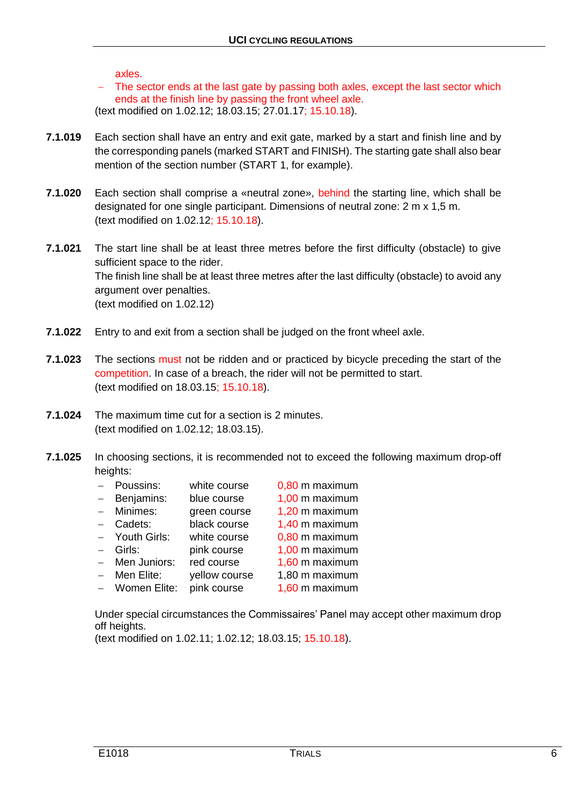axles.

 The sector ends at the last gate by passing both axles, except the last sector which ends at the finish line by passing the front wheel axle. (text modified on 1.02.12; 18.03.15; 27.01.17; 15.10.18).

- **7.1.019** Each section shall have an entry and exit gate, marked by a start and finish line and by the corresponding panels (marked START and FINISH). The starting gate shall also bear mention of the section number (START 1, for example).
- **7.1.020** Each section shall comprise a «neutral zone», behind the starting line, which shall be designated for one single participant. Dimensions of neutral zone: 2 m x 1,5 m. (text modified on 1.02.12; 15.10.18).
- **7.1.021** The start line shall be at least three metres before the first difficulty (obstacle) to give sufficient space to the rider. The finish line shall be at least three metres after the last difficulty (obstacle) to avoid any argument over penalties. (text modified on 1.02.12)
- **7.1.022** Entry to and exit from a section shall be judged on the front wheel axle.
- **7.1.023** The sections must not be ridden and or practiced by bicycle preceding the start of the competition. In case of a breach, the rider will not be permitted to start. (text modified on 18.03.15; 15.10.18).
- **7.1.024** The maximum time cut for a section is 2 minutes. (text modified on 1.02.12; 18.03.15).
- **7.1.025** In choosing sections, it is recommended not to exceed the following maximum drop-off heights:

|          | - Poussins:    | white course  | 0,80 m maximum |
|----------|----------------|---------------|----------------|
| $\equiv$ | Benjamins:     | blue course   | 1,00 m maximum |
|          | - Minimes:     | green course  | 1,20 m maximum |
|          | - Cadets:      | black course  | 1,40 m maximum |
|          | - Youth Girls: | white course  | 0,80 m maximum |
|          | - Girls:       | pink course   | 1,00 m maximum |
|          | - Men Juniors: | red course    | 1,60 m maximum |
|          | - Men Elite:   | yellow course | 1,80 m maximum |
|          | - Women Elite: | pink course   | 1,60 m maximum |

Under special circumstances the Commissaires' Panel may accept other maximum drop off heights.

(text modified on 1.02.11; 1.02.12; 18.03.15; 15.10.18).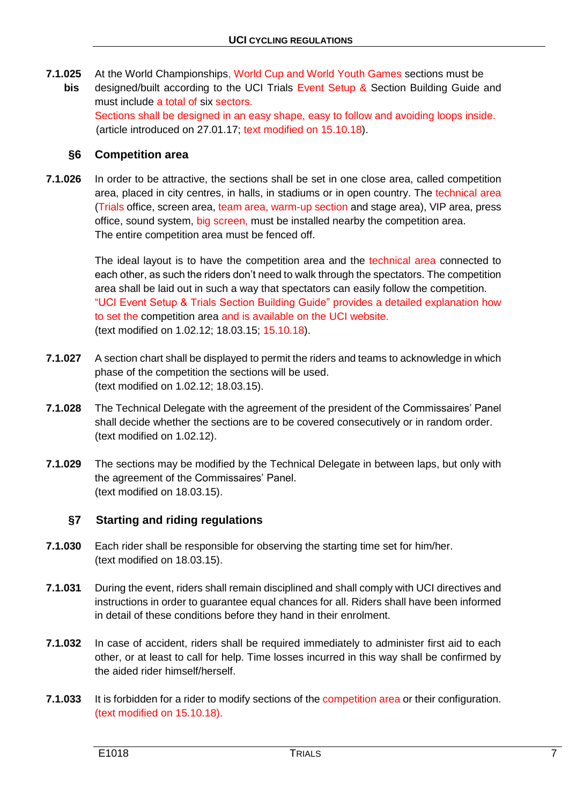**7.1.025** At the World Championships, World Cup and World Youth Games sections must be **bis** designed/built according to the UCI Trials Event Setup & Section Building Guide and must include a total of six sectors. Sections shall be designed in an easy shape, easy to follow and avoiding loops inside. (article introduced on 27.01.17; text modified on 15.10.18).

# **§6 Competition area**

**7.1.026** In order to be attractive, the sections shall be set in one close area, called competition area, placed in city centres, in halls, in stadiums or in open country. The technical area (Trials office, screen area, team area, warm-up section and stage area), VIP area, press office, sound system, big screen, must be installed nearby the competition area. The entire competition area must be fenced off.

> The ideal layout is to have the competition area and the technical area connected to each other, as such the riders don't need to walk through the spectators. The competition area shall be laid out in such a way that spectators can easily follow the competition. "UCI Event Setup & Trials Section Building Guide" provides a detailed explanation how to set the competition area and is available on the UCI website. (text modified on 1.02.12; 18.03.15; 15.10.18).

- **7.1.027** A section chart shall be displayed to permit the riders and teams to acknowledge in which phase of the competition the sections will be used. (text modified on 1.02.12; 18.03.15).
- **7.1.028** The Technical Delegate with the agreement of the president of the Commissaires' Panel shall decide whether the sections are to be covered consecutively or in random order. (text modified on 1.02.12).
- **7.1.029** The sections may be modified by the Technical Delegate in between laps, but only with the agreement of the Commissaires' Panel. (text modified on 18.03.15).

# **§7 Starting and riding regulations**

- **7.1.030** Each rider shall be responsible for observing the starting time set for him/her. (text modified on 18.03.15).
- **7.1.031** During the event, riders shall remain disciplined and shall comply with UCI directives and instructions in order to guarantee equal chances for all. Riders shall have been informed in detail of these conditions before they hand in their enrolment.
- **7.1.032** In case of accident, riders shall be required immediately to administer first aid to each other, or at least to call for help. Time losses incurred in this way shall be confirmed by the aided rider himself/herself.
- **7.1.033** It is forbidden for a rider to modify sections of the competition area or their configuration. (text modified on 15.10.18).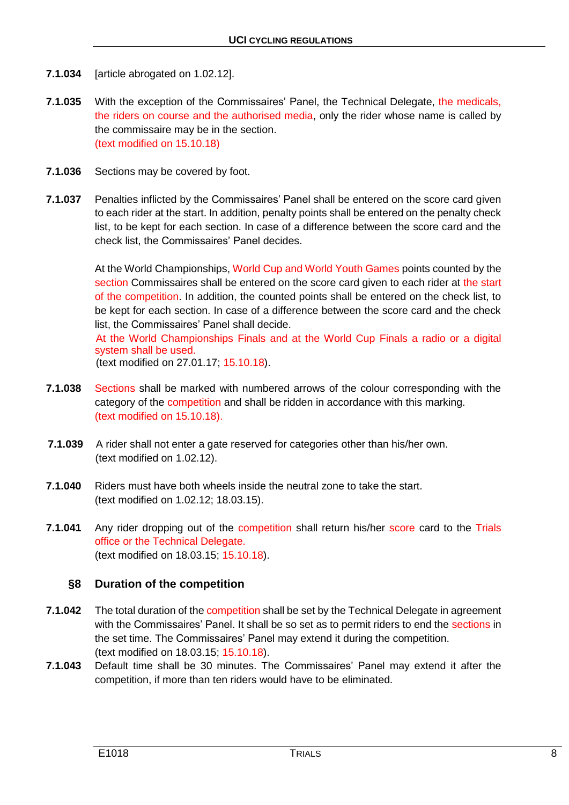- **7.1.034** [article abrogated on 1.02.12].
- **7.1.035** With the exception of the Commissaires' Panel, the Technical Delegate, the medicals, the riders on course and the authorised media, only the rider whose name is called by the commissaire may be in the section. (text modified on 15.10.18)
- **7.1.036** Sections may be covered by foot.
- **7.1.037** Penalties inflicted by the Commissaires' Panel shall be entered on the score card given to each rider at the start. In addition, penalty points shall be entered on the penalty check list, to be kept for each section. In case of a difference between the score card and the check list, the Commissaires' Panel decides.

At the World Championships, World Cup and World Youth Games points counted by the section Commissaires shall be entered on the score card given to each rider at the start of the competition. In addition, the counted points shall be entered on the check list, to be kept for each section. In case of a difference between the score card and the check list, the Commissaires' Panel shall decide.

At the World Championships Finals and at the World Cup Finals a radio or a digital system shall be used. (text modified on 27.01.17; 15.10.18).

- **7.1.038** Sections shall be marked with numbered arrows of the colour corresponding with the category of the competition and shall be ridden in accordance with this marking. (text modified on 15.10.18).
- **7.1.039** A rider shall not enter a gate reserved for categories other than his/her own. (text modified on 1.02.12).
- **7.1.040** Riders must have both wheels inside the neutral zone to take the start. (text modified on 1.02.12; 18.03.15).
- **7.1.041** Any rider dropping out of the competition shall return his/her score card to the Trials office or the Technical Delegate. (text modified on 18.03.15; 15.10.18).

# **§8 Duration of the competition**

- **7.1.042** The total duration of the competition shall be set by the Technical Delegate in agreement with the Commissaires' Panel. It shall be so set as to permit riders to end the sections in the set time. The Commissaires' Panel may extend it during the competition. (text modified on 18.03.15; 15.10.18).
- **7.1.043** Default time shall be 30 minutes. The Commissaires' Panel may extend it after the competition, if more than ten riders would have to be eliminated.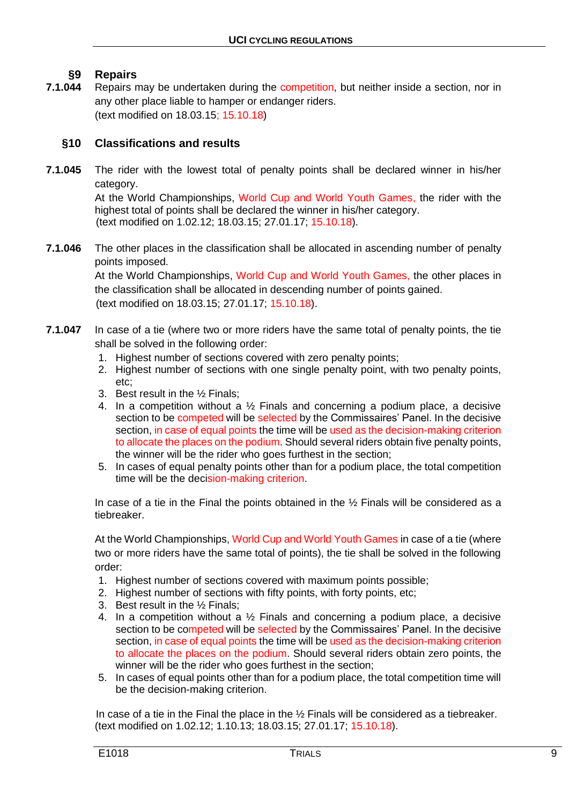# **§9 Repairs**

**7.1.044** • Repairs may be undertaken during the competition, but neither inside a section, nor in any other place liable to hamper or endanger riders. (text modified on 18.03.15; 15.10.18)

# **§10 Classifications and results**

**7.1.045** The rider with the lowest total of penalty points shall be declared winner in his/her category.

> At the World Championships, World Cup and World Youth Games, the rider with the highest total of points shall be declared the winner in his/her category. (text modified on 1.02.12; 18.03.15; 27.01.17; 15.10.18).

**7.1.046** The other places in the classification shall be allocated in ascending number of penalty points imposed.

> At the World Championships, World Cup and World Youth Games, the other places in the classification shall be allocated in descending number of points gained. (text modified on 18.03.15; 27.01.17; 15.10.18).

- **7.1.047** In case of a tie (where two or more riders have the same total of penalty points, the tie shall be solved in the following order:
	- 1. Highest number of sections covered with zero penalty points;
	- 2. Highest number of sections with one single penalty point, with two penalty points, etc;
	- 3. Best result in the ½ Finals;
	- 4. In a competition without a  $\frac{1}{2}$  Finals and concerning a podium place, a decisive section to be competed will be selected by the Commissaires' Panel. In the decisive section, in case of equal points the time will be used as the decision-making criterion to allocate the places on the podium. Should several riders obtain five penalty points, the winner will be the rider who goes furthest in the section;
	- 5. In cases of equal penalty points other than for a podium place, the total competition time will be the decision-making criterion.

In case of a tie in the Final the points obtained in the  $\frac{1}{2}$  Finals will be considered as a tiebreaker.

At the World Championships, World Cup and World Youth Games in case of a tie (where two or more riders have the same total of points), the tie shall be solved in the following order:

- 1. Highest number of sections covered with maximum points possible;
- 2. Highest number of sections with fifty points, with forty points, etc;
- 3. Best result in the ½ Finals;
- 4. In a competition without a  $\frac{1}{2}$  Finals and concerning a podium place, a decisive section to be competed will be selected by the Commissaires' Panel. In the decisive section, in case of equal points the time will be used as the decision-making criterion to allocate the places on the podium. Should several riders obtain zero points, the winner will be the rider who goes furthest in the section:
- 5. In cases of equal points other than for a podium place, the total competition time will be the decision-making criterion.

In case of a tie in the Final the place in the ½ Finals will be considered as a tiebreaker. (text modified on 1.02.12; 1.10.13; 18.03.15; 27.01.17; 15.10.18).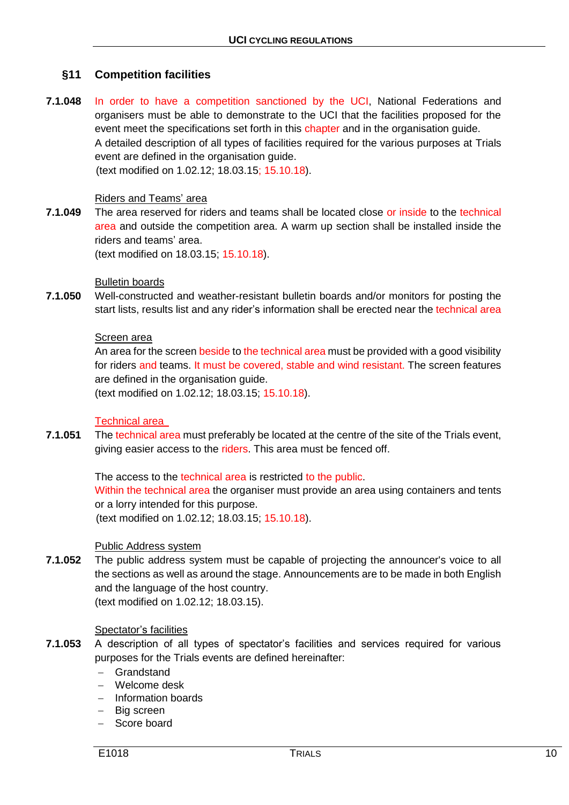# **§11 Competition facilities**

**7.1.048** In order to have a competition sanctioned by the UCI, National Federations and organisers must be able to demonstrate to the UCI that the facilities proposed for the event meet the specifications set forth in this chapter and in the organisation guide. A detailed description of all types of facilities required for the various purposes at Trials event are defined in the organisation guide. (text modified on 1.02.12; 18.03.15; 15.10.18).

#### Riders and Teams' area

**7.1.049** The area reserved for riders and teams shall be located close or inside to the technical area and outside the competition area. A warm up section shall be installed inside the riders and teams' area.

(text modified on 18.03.15; 15.10.18).

#### Bulletin boards

**7.1.050** Well-constructed and weather-resistant bulletin boards and/or monitors for posting the start lists, results list and any rider's information shall be erected near the technical area

#### Screen area

An area for the screen beside to the technical area must be provided with a good visibility for riders and teams. It must be covered, stable and wind resistant. The screen features are defined in the organisation guide.

(text modified on 1.02.12; 18.03.15; 15.10.18).

#### Technical area

**7.1.051** The technical area must preferably be located at the centre of the site of the Trials event, giving easier access to the riders. This area must be fenced off.

> The access to the technical area is restricted to the public. Within the technical area the organiser must provide an area using containers and tents or a lorry intended for this purpose. (text modified on 1.02.12; 18.03.15; 15.10.18).

#### Public Address system

**7.1.052** The public address system must be capable of projecting the announcer's voice to all the sections as well as around the stage. Announcements are to be made in both English and the language of the host country. (text modified on 1.02.12; 18.03.15).

#### Spectator's facilities

- **7.1.053** A description of all types of spectator's facilities and services required for various purposes for the Trials events are defined hereinafter:
	- Grandstand
	- Welcome desk
	- $-$  Information boards
	- Big screen
	- Score board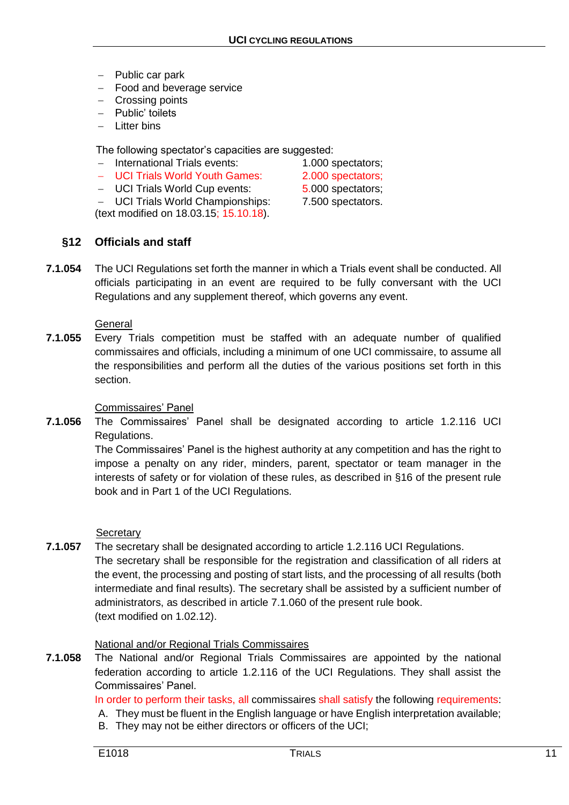- $-$  Public car park
- Food and beverage service
- Crossing points
- Public' toilets
- $-$  Litter bins

The following spectator's capacities are suggested:

- International Trials events: 1.000 spectators:
- UCI Trials World Youth Games: 2.000 spectators:
- UCI Trials World Cup events: 5.000 spectators;
- UCI Trials World Championships: 7.500 spectators.

(text modified on 18.03.15; 15.10.18).

# **§12 Officials and staff**

**7.1.054** The UCI Regulations set forth the manner in which a Trials event shall be conducted. All officials participating in an event are required to be fully conversant with the UCI Regulations and any supplement thereof, which governs any event.

#### **General**

**7.1.055** Every Trials competition must be staffed with an adequate number of qualified commissaires and officials, including a minimum of one UCI commissaire, to assume all the responsibilities and perform all the duties of the various positions set forth in this section.

## Commissaires' Panel

**7.1.056** The Commissaires' Panel shall be designated according to article 1.2.116 UCI Regulations.

> The Commissaires' Panel is the highest authority at any competition and has the right to impose a penalty on any rider, minders, parent, spectator or team manager in the interests of safety or for violation of these rules, as described in §16 of the present rule book and in Part 1 of the UCI Regulations.

**Secretary** 

**7.1.057** The secretary shall be designated according to article 1.2.116 UCI Regulations. The secretary shall be responsible for the registration and classification of all riders at the event, the processing and posting of start lists, and the processing of all results (both intermediate and final results). The secretary shall be assisted by a sufficient number of administrators, as described in article 7.1.060 of the present rule book. (text modified on 1.02.12).

# National and/or Regional Trials Commissaires

**7.1.058** The National and/or Regional Trials Commissaires are appointed by the national federation according to article 1.2.116 of the UCI Regulations. They shall assist the Commissaires' Panel.

In order to perform their tasks, all commissaires shall satisfy the following requirements:

- A. They must be fluent in the English language or have English interpretation available;
- B. They may not be either directors or officers of the UCI;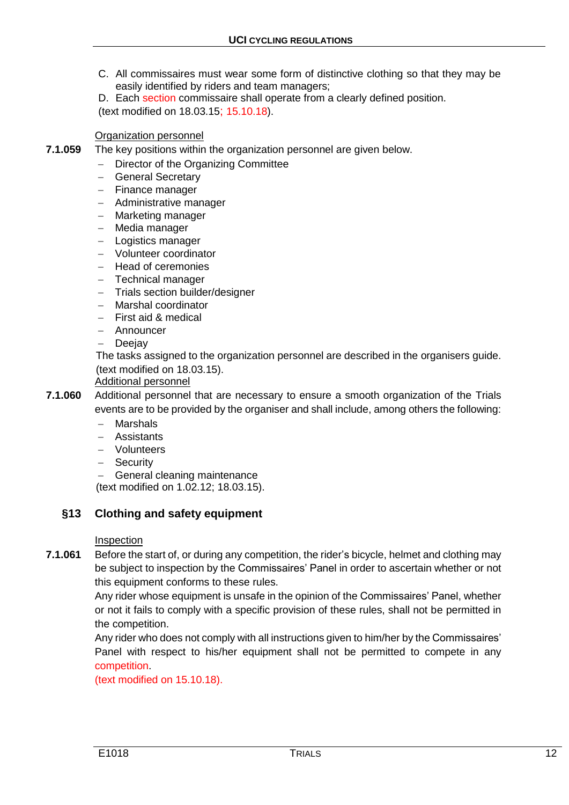C. All commissaires must wear some form of distinctive clothing so that they may be easily identified by riders and team managers;

D. Each section commissaire shall operate from a clearly defined position. (text modified on 18.03.15; 15.10.18).

#### Organization personnel

- **7.1.059** The key positions within the organization personnel are given below.
	- Director of the Organizing Committee
	- General Secretary
	- Finance manager
	- Administrative manager
	- Marketing manager
	- Media manager
	- Logistics manager
	- Volunteer coordinator
	- Head of ceremonies
	- Technical manager
	- Trials section builder/designer
	- Marshal coordinator
	- First aid & medical
	- Announcer
	- **Deejay**

The tasks assigned to the organization personnel are described in the organisers guide. (text modified on 18.03.15).

Additional personnel

**7.1.060** Additional personnel that are necessary to ensure a smooth organization of the Trials events are to be provided by the organiser and shall include, among others the following:

- Marshals
- Assistants
- Volunteers
- Security
- General cleaning maintenance

(text modified on 1.02.12; 18.03.15).

# **§13 Clothing and safety equipment**

#### Inspection

**7.1.061** Before the start of, or during any competition, the rider's bicycle, helmet and clothing may be subject to inspection by the Commissaires' Panel in order to ascertain whether or not this equipment conforms to these rules.

> Any rider whose equipment is unsafe in the opinion of the Commissaires' Panel, whether or not it fails to comply with a specific provision of these rules, shall not be permitted in the competition.

> Any rider who does not comply with all instructions given to him/her by the Commissaires' Panel with respect to his/her equipment shall not be permitted to compete in any competition.

(text modified on 15.10.18).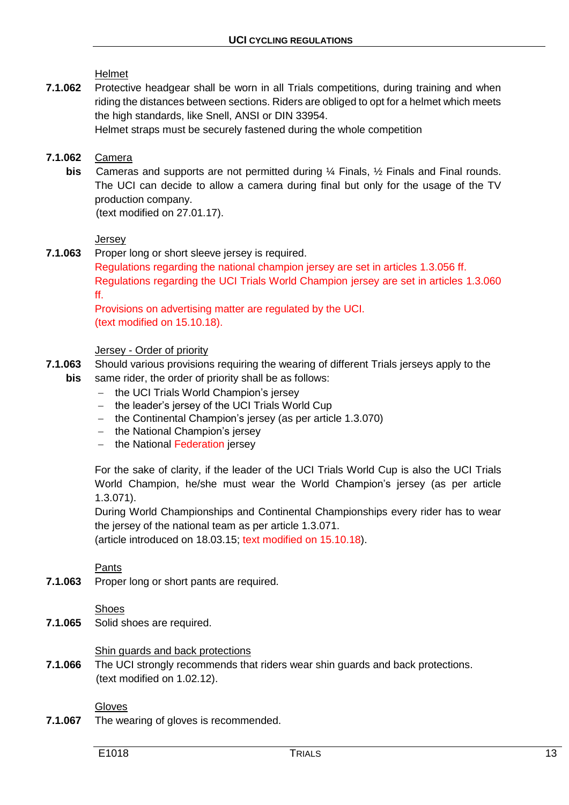Helmet

**7.1.062** Protective headgear shall be worn in all Trials competitions, during training and when riding the distances between sections. Riders are obliged to opt for a helmet which meets the high standards, like Snell, ANSI or DIN 33954.

Helmet straps must be securely fastened during the whole competition

## **7.1.062** Camera

**bis** Cameras and supports are not permitted during ¼ Finals, ½ Finals and Final rounds. The UCI can decide to allow a camera during final but only for the usage of the TV production company.

(text modified on 27.01.17).

#### **Jersey**

- **7.1.063** Proper long or short sleeve jersey is required.
	- Regulations regarding the national champion jersey are set in articles 1.3.056 ff. Regulations regarding the UCI Trials World Champion jersey are set in articles 1.3.060 ff.

Provisions on advertising matter are regulated by the UCI. (text modified on 15.10.18).

#### Jersey - Order of priority

- **7.1.063** Should various provisions requiring the wearing of different Trials jerseys apply to the **bis** same rider, the order of priority shall be as follows:
	- the UCI Trials World Champion's jersey
	- $-$  the leader's jersey of the UCI Trials World Cup
	- $-$  the Continental Champion's jersey (as per article 1.3.070)
	- the National Champion's jersey
	- the National Federation jersey

For the sake of clarity, if the leader of the UCI Trials World Cup is also the UCI Trials World Champion, he/she must wear the World Champion's jersey (as per article 1.3.071).

During World Championships and Continental Championships every rider has to wear the jersey of the national team as per article 1.3.071.

(article introduced on 18.03.15; text modified on 15.10.18).

#### Pants

**7.1.063** Proper long or short pants are required.

# Shoes

**7.1.065** Solid shoes are required.

# Shin guards and back protections

**7.1.066** The UCI strongly recommends that riders wear shin guards and back protections. (text modified on 1.02.12).

# Gloves

**7.1.067** The wearing of gloves is recommended.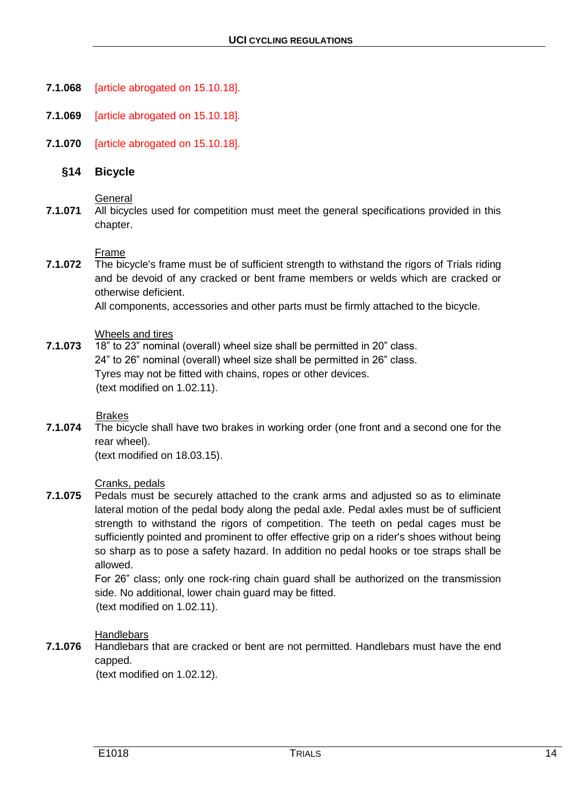- **7.1.068** [article abrogated on 15.10.18].
- **7.1.069** [article abrogated on 15.10.18].
- **7.1.070** [article abrogated on 15.10.18].

#### **§14 Bicycle**

#### **General**

**7.1.071** All bicycles used for competition must meet the general specifications provided in this chapter.

#### Frame

**7.1.072** The bicycle's frame must be of sufficient strength to withstand the rigors of Trials riding and be devoid of any cracked or bent frame members or welds which are cracked or otherwise deficient.

All components, accessories and other parts must be firmly attached to the bicycle.

#### Wheels and tires

**7.1.073** 18" to 23" nominal (overall) wheel size shall be permitted in 20" class. 24" to 26" nominal (overall) wheel size shall be permitted in 26" class. Tyres may not be fitted with chains, ropes or other devices. (text modified on 1.02.11).

#### Brakes

**7.1.074** The bicycle shall have two brakes in working order (one front and a second one for the rear wheel).

(text modified on 18.03.15).

#### Cranks, pedals

**7.1.075** Pedals must be securely attached to the crank arms and adjusted so as to eliminate lateral motion of the pedal body along the pedal axle. Pedal axles must be of sufficient strength to withstand the rigors of competition. The teeth on pedal cages must be sufficiently pointed and prominent to offer effective grip on a rider's shoes without being so sharp as to pose a safety hazard. In addition no pedal hooks or toe straps shall be allowed.

> For 26" class; only one rock-ring chain guard shall be authorized on the transmission side. No additional, lower chain guard may be fitted.

(text modified on 1.02.11).

#### **Handlebars**

**7.1.076** Handlebars that are cracked or bent are not permitted. Handlebars must have the end capped.

(text modified on 1.02.12).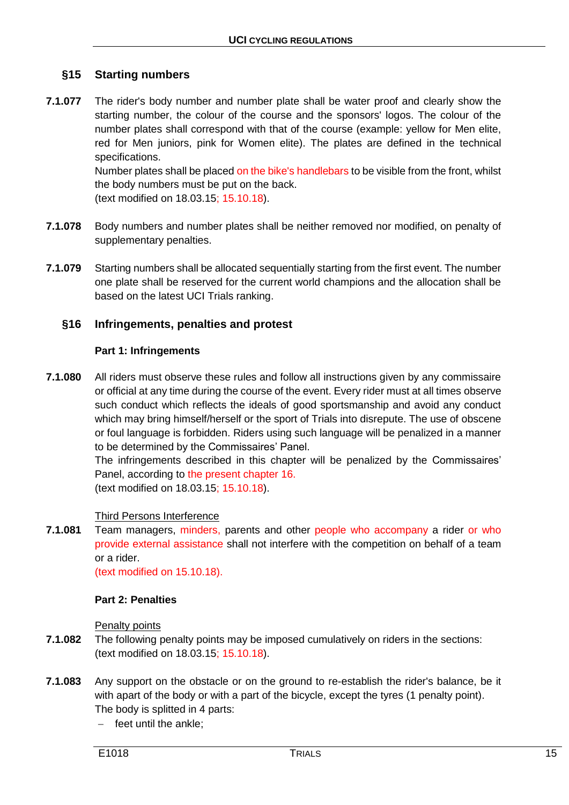# **§15 Starting numbers**

**7.1.077** The rider's body number and number plate shall be water proof and clearly show the starting number, the colour of the course and the sponsors' logos. The colour of the number plates shall correspond with that of the course (example: yellow for Men elite, red for Men juniors, pink for Women elite). The plates are defined in the technical specifications. Number plates shall be placed on the bike's handlebars to be visible from the front, whilst

the body numbers must be put on the back.

(text modified on 18.03.15; 15.10.18).

- **7.1.078** Body numbers and number plates shall be neither removed nor modified, on penalty of supplementary penalties.
- **7.1.079** Starting numbers shall be allocated sequentially starting from the first event. The number one plate shall be reserved for the current world champions and the allocation shall be based on the latest UCI Trials ranking.

# **§16 Infringements, penalties and protest**

#### **Part 1: Infringements**

**7.1.080** All riders must observe these rules and follow all instructions given by any commissaire or official at any time during the course of the event. Every rider must at all times observe such conduct which reflects the ideals of good sportsmanship and avoid any conduct which may bring himself/herself or the sport of Trials into disrepute. The use of obscene or foul language is forbidden. Riders using such language will be penalized in a manner to be determined by the Commissaires' Panel.

> The infringements described in this chapter will be penalized by the Commissaires' Panel, according to the present chapter 16. (text modified on 18.03.15; 15.10.18).

# Third Persons Interference

**7.1.081** Team managers, minders, parents and other people who accompany a rider or who provide external assistance shall not interfere with the competition on behalf of a team or a rider.

(text modified on 15.10.18).

#### **Part 2: Penalties**

Penalty points

- **7.1.082** The following penalty points may be imposed cumulatively on riders in the sections: (text modified on 18.03.15; 15.10.18).
- **7.1.083** Any support on the obstacle or on the ground to re-establish the rider's balance, be it with apart of the body or with a part of the bicycle, except the tyres (1 penalty point). The body is splitted in 4 parts:
	- $-$  feet until the ankle;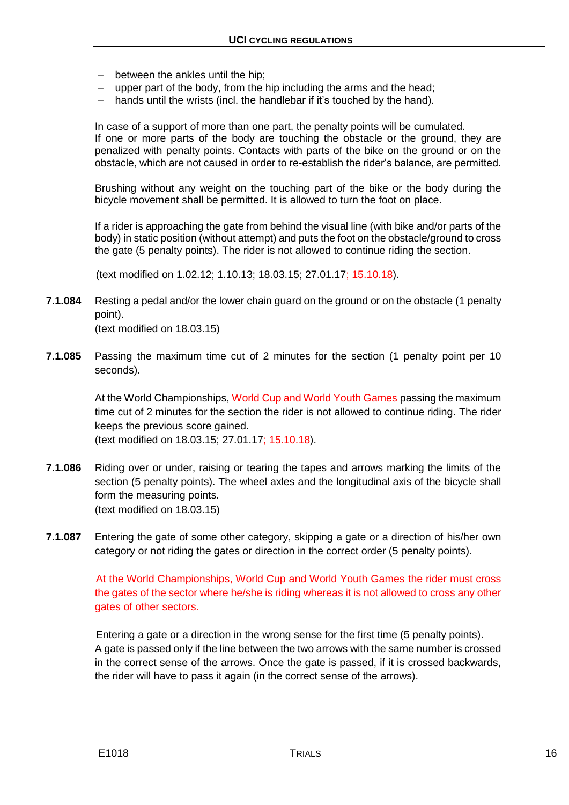- between the ankles until the hip;
- upper part of the body, from the hip including the arms and the head;
- hands until the wrists (incl. the handlebar if it's touched by the hand).

In case of a support of more than one part, the penalty points will be cumulated. If one or more parts of the body are touching the obstacle or the ground, they are penalized with penalty points. Contacts with parts of the bike on the ground or on the obstacle, which are not caused in order to re-establish the rider's balance, are permitted.

Brushing without any weight on the touching part of the bike or the body during the bicycle movement shall be permitted. It is allowed to turn the foot on place.

If a rider is approaching the gate from behind the visual line (with bike and/or parts of the body) in static position (without attempt) and puts the foot on the obstacle/ground to cross the gate (5 penalty points). The rider is not allowed to continue riding the section.

(text modified on 1.02.12; 1.10.13; 18.03.15; 27.01.17; 15.10.18).

- **7.1.084** Resting a pedal and/or the lower chain guard on the ground or on the obstacle (1 penalty point). (text modified on 18.03.15)
- **7.1.085** Passing the maximum time cut of 2 minutes for the section (1 penalty point per 10 seconds).

At the World Championships, World Cup and World Youth Games passing the maximum time cut of 2 minutes for the section the rider is not allowed to continue riding. The rider keeps the previous score gained. (text modified on 18.03.15; 27.01.17; 15.10.18).

- **7.1.086** Riding over or under, raising or tearing the tapes and arrows marking the limits of the section (5 penalty points). The wheel axles and the longitudinal axis of the bicycle shall form the measuring points. (text modified on 18.03.15)
- **7.1.087** Entering the gate of some other category, skipping a gate or a direction of his/her own category or not riding the gates or direction in the correct order (5 penalty points).

At the World Championships, World Cup and World Youth Games the rider must cross the gates of the sector where he/she is riding whereas it is not allowed to cross any other gates of other sectors.

Entering a gate or a direction in the wrong sense for the first time (5 penalty points). A gate is passed only if the line between the two arrows with the same number is crossed in the correct sense of the arrows. Once the gate is passed, if it is crossed backwards, the rider will have to pass it again (in the correct sense of the arrows).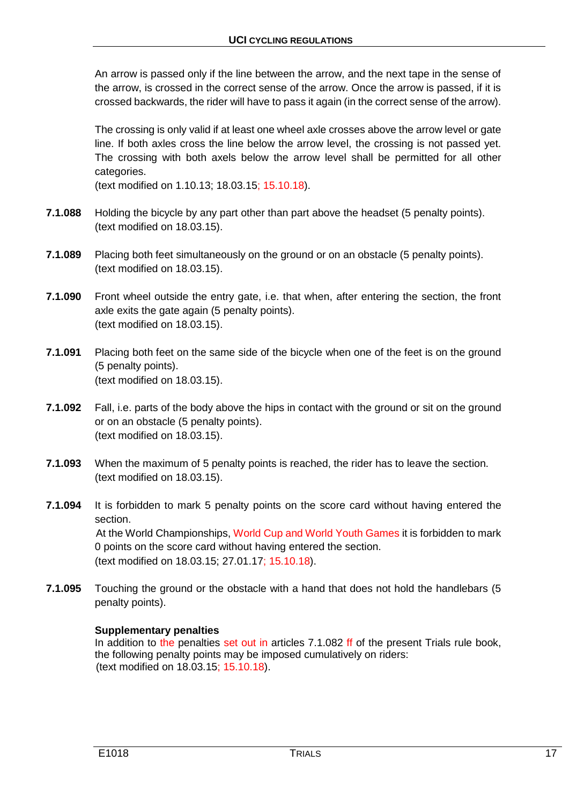An arrow is passed only if the line between the arrow, and the next tape in the sense of the arrow, is crossed in the correct sense of the arrow. Once the arrow is passed, if it is crossed backwards, the rider will have to pass it again (in the correct sense of the arrow).

The crossing is only valid if at least one wheel axle crosses above the arrow level or gate line. If both axles cross the line below the arrow level, the crossing is not passed yet. The crossing with both axels below the arrow level shall be permitted for all other categories.

(text modified on 1.10.13; 18.03.15; 15.10.18).

- **7.1.088** Holding the bicycle by any part other than part above the headset (5 penalty points). (text modified on 18.03.15).
- **7.1.089** Placing both feet simultaneously on the ground or on an obstacle (5 penalty points). (text modified on 18.03.15).
- **7.1.090** Front wheel outside the entry gate, i.e. that when, after entering the section, the front axle exits the gate again (5 penalty points). (text modified on 18.03.15).
- **7.1.091** Placing both feet on the same side of the bicycle when one of the feet is on the ground (5 penalty points). (text modified on 18.03.15).
- **7.1.092** Fall, i.e. parts of the body above the hips in contact with the ground or sit on the ground or on an obstacle (5 penalty points). (text modified on 18.03.15).
- **7.1.093** When the maximum of 5 penalty points is reached, the rider has to leave the section. (text modified on 18.03.15).
- **7.1.094** It is forbidden to mark 5 penalty points on the score card without having entered the section. At the World Championships, World Cup and World Youth Games it is forbidden to mark 0 points on the score card without having entered the section. (text modified on 18.03.15; 27.01.17; 15.10.18).
- **7.1.095** Touching the ground or the obstacle with a hand that does not hold the handlebars (5 penalty points).

#### **Supplementary penalties**

In addition to the penalties set out in articles 7.1.082 ff of the present Trials rule book, the following penalty points may be imposed cumulatively on riders: (text modified on 18.03.15; 15.10.18).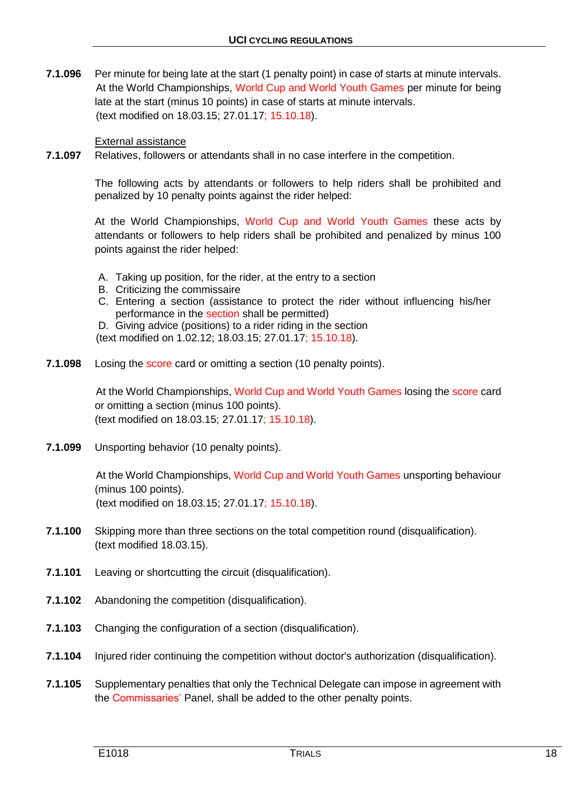**7.1.096** Per minute for being late at the start (1 penalty point) in case of starts at minute intervals. At the World Championships, World Cup and World Youth Games per minute for being late at the start (minus 10 points) in case of starts at minute intervals. (text modified on 18.03.15; 27.01.17; 15.10.18).

#### External assistance

**7.1.097** Relatives, followers or attendants shall in no case interfere in the competition.

The following acts by attendants or followers to help riders shall be prohibited and penalized by 10 penalty points against the rider helped:

At the World Championships, World Cup and World Youth Games these acts by attendants or followers to help riders shall be prohibited and penalized by minus 100 points against the rider helped:

- A. Taking up position, for the rider, at the entry to a section
- B. Criticizing the commissaire
- C. Entering a section (assistance to protect the rider without influencing his/her performance in the section shall be permitted)
- D. Giving advice (positions) to a rider riding in the section

(text modified on 1.02.12; 18.03.15; 27.01.17; 15.10.18).

**7.1.098** Losing the score card or omitting a section (10 penalty points).

At the World Championships, World Cup and World Youth Games losing the score card or omitting a section (minus 100 points). (text modified on 18.03.15; 27.01.17; 15.10.18).

**7.1.099** Unsporting behavior (10 penalty points).

At the World Championships, World Cup and World Youth Games unsporting behaviour (minus 100 points). (text modified on 18.03.15; 27.01.17; 15.10.18).

- **7.1.100** Skipping more than three sections on the total competition round (disqualification). (text modified 18.03.15).
- **7.1.101** Leaving or shortcutting the circuit (disqualification).
- **7.1.102** Abandoning the competition (disqualification).
- **7.1.103** Changing the configuration of a section (disqualification).
- **7.1.104** Injured rider continuing the competition without doctor's authorization (disqualification).
- **7.1.105** Supplementary penalties that only the Technical Delegate can impose in agreement with the Commissaries' Panel, shall be added to the other penalty points.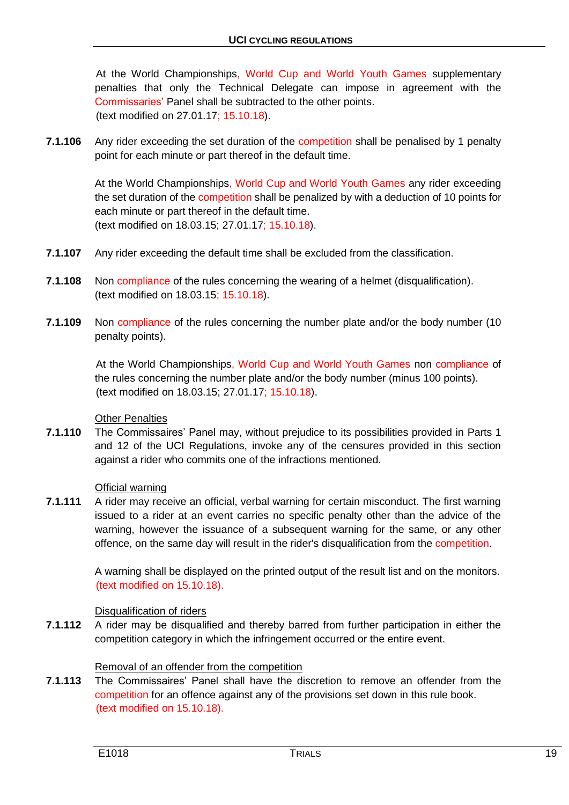At the World Championships, World Cup and World Youth Games supplementary penalties that only the Technical Delegate can impose in agreement with the Commissaries' Panel shall be subtracted to the other points. (text modified on 27.01.17; 15.10.18).

**7.1.106** Any rider exceeding the set duration of the competition shall be penalised by 1 penalty point for each minute or part thereof in the default time.

> At the World Championships, World Cup and World Youth Games any rider exceeding the set duration of the competition shall be penalized by with a deduction of 10 points for each minute or part thereof in the default time. (text modified on 18.03.15; 27.01.17; 15.10.18).

- **7.1.107** Any rider exceeding the default time shall be excluded from the classification.
- **7.1.108** Non compliance of the rules concerning the wearing of a helmet (disqualification). (text modified on 18.03.15; 15.10.18).
- **7.1.109** Non compliance of the rules concerning the number plate and/or the body number (10 penalty points).

At the World Championships, World Cup and World Youth Games non compliance of the rules concerning the number plate and/or the body number (minus 100 points). (text modified on 18.03.15; 27.01.17; 15.10.18).

#### Other Penalties

**7.1.110** The Commissaires' Panel may, without prejudice to its possibilities provided in Parts 1 and 12 of the UCI Regulations, invoke any of the censures provided in this section against a rider who commits one of the infractions mentioned.

#### Official warning

**7.1.111** A rider may receive an official, verbal warning for certain misconduct. The first warning issued to a rider at an event carries no specific penalty other than the advice of the warning, however the issuance of a subsequent warning for the same, or any other offence, on the same day will result in the rider's disqualification from the competition.

> A warning shall be displayed on the printed output of the result list and on the monitors. (text modified on 15.10.18).

#### Disqualification of riders

**7.1.112** A rider may be disqualified and thereby barred from further participation in either the competition category in which the infringement occurred or the entire event.

# Removal of an offender from the competition

**7.1.113** The Commissaires' Panel shall have the discretion to remove an offender from the competition for an offence against any of the provisions set down in this rule book. (text modified on 15.10.18).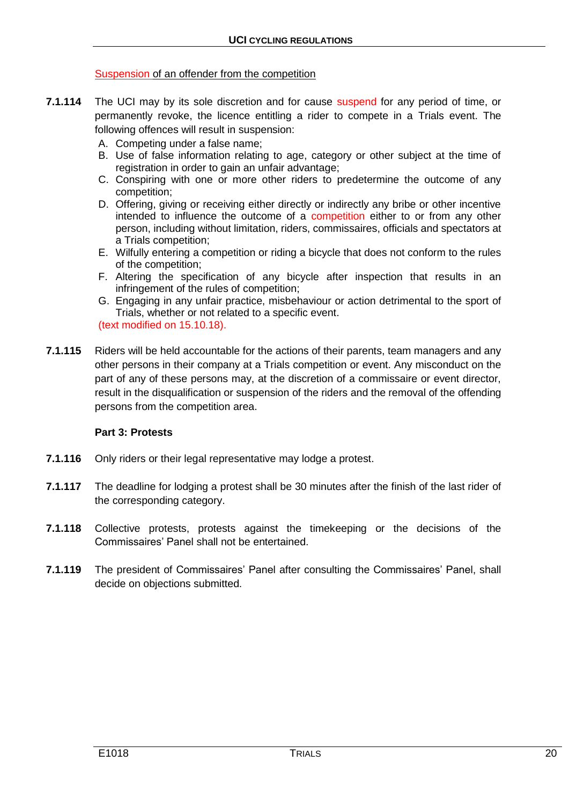#### Suspension of an offender from the competition

- **7.1.114** The UCI may by its sole discretion and for cause suspend for any period of time, or permanently revoke, the licence entitling a rider to compete in a Trials event. The following offences will result in suspension:
	- A. Competing under a false name;
	- B. Use of false information relating to age, category or other subject at the time of registration in order to gain an unfair advantage;
	- C. Conspiring with one or more other riders to predetermine the outcome of any competition;
	- D. Offering, giving or receiving either directly or indirectly any bribe or other incentive intended to influence the outcome of a competition either to or from any other person, including without limitation, riders, commissaires, officials and spectators at a Trials competition;
	- E. Wilfully entering a competition or riding a bicycle that does not conform to the rules of the competition;
	- F. Altering the specification of any bicycle after inspection that results in an infringement of the rules of competition;
	- G. Engaging in any unfair practice, misbehaviour or action detrimental to the sport of Trials, whether or not related to a specific event. (text modified on 15.10.18).
- **7.1.115** Riders will be held accountable for the actions of their parents, team managers and any other persons in their company at a Trials competition or event. Any misconduct on the part of any of these persons may, at the discretion of a commissaire or event director, result in the disqualification or suspension of the riders and the removal of the offending persons from the competition area.

#### **Part 3: Protests**

- **7.1.116** Only riders or their legal representative may lodge a protest.
- **7.1.117** The deadline for lodging a protest shall be 30 minutes after the finish of the last rider of the corresponding category.
- **7.1.118** Collective protests, protests against the timekeeping or the decisions of the Commissaires' Panel shall not be entertained.
- **7.1.119** The president of Commissaires' Panel after consulting the Commissaires' Panel, shall decide on objections submitted.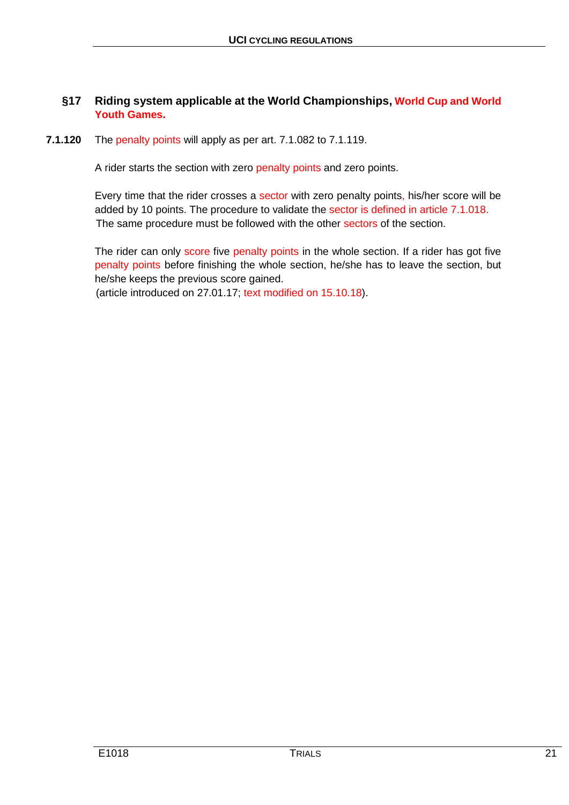# **§17 Riding system applicable at the World Championships, World Cup and World Youth Games.**

## **7.1.120** The penalty points will apply as per art. 7.1.082 to 7.1.119.

A rider starts the section with zero penalty points and zero points.

Every time that the rider crosses a sector with zero penalty points, his/her score will be added by 10 points. The procedure to validate the sector is defined in article 7.1.018. The same procedure must be followed with the other sectors of the section.

The rider can only score five penalty points in the whole section. If a rider has got five penalty points before finishing the whole section, he/she has to leave the section, but he/she keeps the previous score gained.

(article introduced on 27.01.17; text modified on 15.10.18).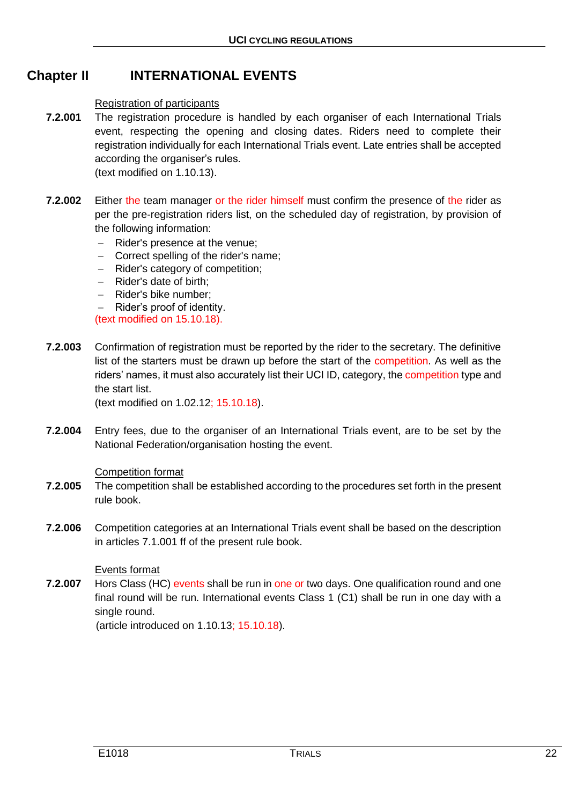# **Chapter II INTERNATIONAL EVENTS**

#### Registration of participants

- **7.2.001** The registration procedure is handled by each organiser of each International Trials event, respecting the opening and closing dates. Riders need to complete their registration individually for each International Trials event. Late entries shall be accepted according the organiser's rules. (text modified on 1.10.13).
- **7.2.002** Either the team manager or the rider himself must confirm the presence of the rider as per the pre-registration riders list, on the scheduled day of registration, by provision of the following information:
	- $-$  Rider's presence at the venue:
	- Correct spelling of the rider's name;
	- Rider's category of competition;
	- Rider's date of birth:
	- Rider's bike number;
	- Rider's proof of identity.

(text modified on 15.10.18).

**7.2.003** Confirmation of registration must be reported by the rider to the secretary. The definitive list of the starters must be drawn up before the start of the competition. As well as the riders' names, it must also accurately list their UCI ID, category, the competition type and the start list.

(text modified on 1.02.12; 15.10.18).

**7.2.004** Entry fees, due to the organiser of an International Trials event, are to be set by the National Federation/organisation hosting the event.

#### Competition format

- **7.2.005** The competition shall be established according to the procedures set forth in the present rule book.
- **7.2.006** Competition categories at an International Trials event shall be based on the description in articles 7.1.001 ff of the present rule book.

#### Events format

**7.2.007** Hors Class (HC) events shall be run in one or two days. One qualification round and one final round will be run. International events Class 1 (C1) shall be run in one day with a single round.

(article introduced on 1.10.13; 15.10.18).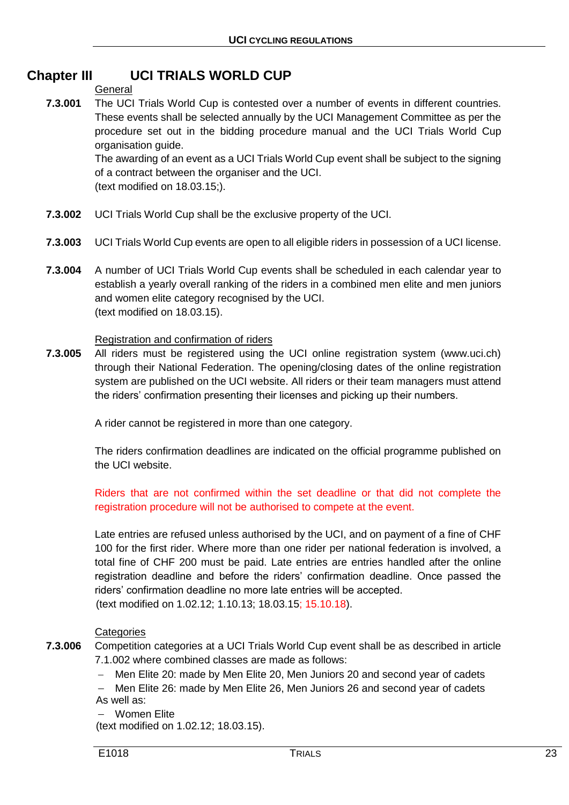# **Chapter III UCI TRIALS WORLD CUP**

## **General**

**7.3.001** The UCI Trials World Cup is contested over a number of events in different countries. These events shall be selected annually by the UCI Management Committee as per the procedure set out in the bidding procedure manual and the UCI Trials World Cup organisation guide.

The awarding of an event as a UCI Trials World Cup event shall be subject to the signing of a contract between the organiser and the UCI. (text modified on 18.03.15;).

- **7.3.002** UCI Trials World Cup shall be the exclusive property of the UCI.
- **7.3.003** UCI Trials World Cup events are open to all eligible riders in possession of a UCI license.
- **7.3.004** A number of UCI Trials World Cup events shall be scheduled in each calendar year to establish a yearly overall ranking of the riders in a combined men elite and men juniors and women elite category recognised by the UCI. (text modified on 18.03.15).

# Registration and confirmation of riders

**7.3.005** All riders must be registered using the UCI online registration system (www.uci.ch) through their National Federation. The opening/closing dates of the online registration system are published on the UCI website. All riders or their team managers must attend the riders' confirmation presenting their licenses and picking up their numbers.

A rider cannot be registered in more than one category.

The riders confirmation deadlines are indicated on the official programme published on the UCI website.

Riders that are not confirmed within the set deadline or that did not complete the registration procedure will not be authorised to compete at the event.

Late entries are refused unless authorised by the UCI, and on payment of a fine of CHF 100 for the first rider. Where more than one rider per national federation is involved, a total fine of CHF 200 must be paid. Late entries are entries handled after the online registration deadline and before the riders' confirmation deadline. Once passed the riders' confirmation deadline no more late entries will be accepted.

(text modified on 1.02.12; 1.10.13; 18.03.15; 15.10.18).

# **Categories**

**7.3.006** Competition categories at a UCI Trials World Cup event shall be as described in article 7.1.002 where combined classes are made as follows:

Men Elite 20: made by Men Elite 20, Men Juniors 20 and second year of cadets

 Men Elite 26: made by Men Elite 26, Men Juniors 26 and second year of cadets As well as:

Women Elite

(text modified on 1.02.12; 18.03.15).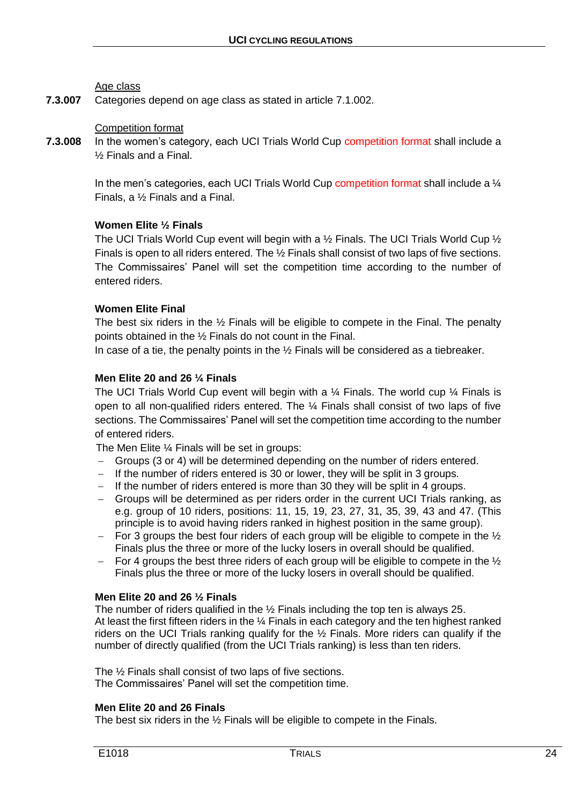#### Age class

**7.3.007** Categories depend on age class as stated in article 7.1.002.

#### Competition format

**7.3.008** In the women's category, each UCI Trials World Cup competition format shall include a ½ Finals and a Final.

> In the men's categories, each UCI Trials World Cup competition format shall include a  $\frac{1}{4}$ Finals, a ½ Finals and a Final.

#### **Women Elite ½ Finals**

The UCI Trials World Cup event will begin with a 1/2 Finals. The UCI Trials World Cup 1/2 Finals is open to all riders entered. The ½ Finals shall consist of two laps of five sections. The Commissaires' Panel will set the competition time according to the number of entered riders.

#### **Women Elite Final**

The best six riders in the  $\frac{1}{2}$  Finals will be eligible to compete in the Final. The penalty points obtained in the ½ Finals do not count in the Final.

In case of a tie, the penalty points in the  $\frac{1}{2}$  Finals will be considered as a tiebreaker.

#### **Men Elite 20 and 26 ¼ Finals**

The UCI Trials World Cup event will begin with a  $\frac{1}{4}$  Finals. The world cup  $\frac{1}{4}$  Finals is open to all non-qualified riders entered. The ¼ Finals shall consist of two laps of five sections. The Commissaires' Panel will set the competition time according to the number of entered riders.

The Men Elite ¼ Finals will be set in groups:

- Groups (3 or 4) will be determined depending on the number of riders entered.
- If the number of riders entered is 30 or lower, they will be split in 3 groups.
- $-I$  If the number of riders entered is more than 30 they will be split in 4 groups.
- Groups will be determined as per riders order in the current UCI Trials ranking, as e.g. group of 10 riders, positions: 11, 15, 19, 23, 27, 31, 35, 39, 43 and 47. (This principle is to avoid having riders ranked in highest position in the same group).
- For 3 groups the best four riders of each group will be eligible to compete in the  $\frac{1}{2}$ Finals plus the three or more of the lucky losers in overall should be qualified.
- For 4 groups the best three riders of each group will be eligible to compete in the  $\frac{1}{2}$ Finals plus the three or more of the lucky losers in overall should be qualified.

#### **Men Elite 20 and 26 ½ Finals**

The number of riders qualified in the ½ Finals including the top ten is always 25. At least the first fifteen riders in the 1/4 Finals in each category and the ten highest ranked riders on the UCI Trials ranking qualify for the ½ Finals. More riders can qualify if the number of directly qualified (from the UCI Trials ranking) is less than ten riders.

The ½ Finals shall consist of two laps of five sections. The Commissaires' Panel will set the competition time.

#### **Men Elite 20 and 26 Finals**

The best six riders in the ½ Finals will be eligible to compete in the Finals.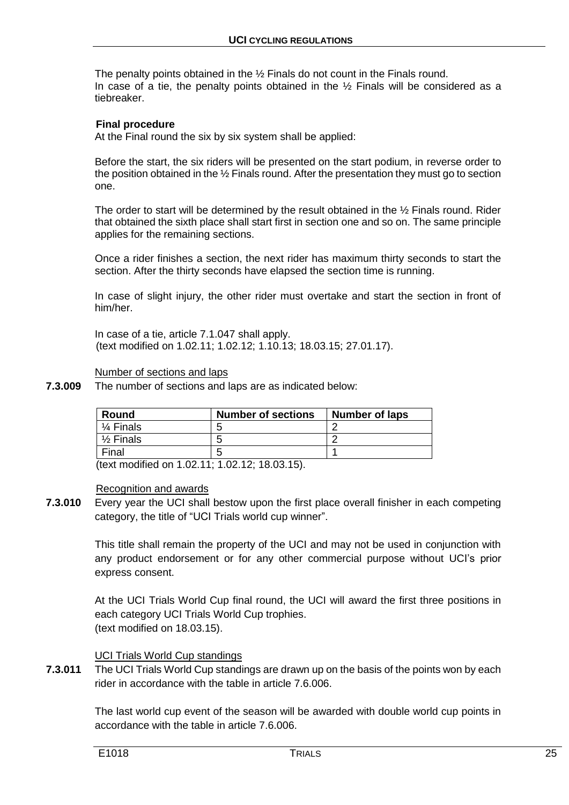The penalty points obtained in the ½ Finals do not count in the Finals round. In case of a tie, the penalty points obtained in the  $\frac{1}{2}$  Finals will be considered as a tiebreaker.

#### **Final procedure**

At the Final round the six by six system shall be applied:

Before the start, the six riders will be presented on the start podium, in reverse order to the position obtained in the ½ Finals round. After the presentation they must go to section one.

The order to start will be determined by the result obtained in the ½ Finals round. Rider that obtained the sixth place shall start first in section one and so on. The same principle applies for the remaining sections.

Once a rider finishes a section, the next rider has maximum thirty seconds to start the section. After the thirty seconds have elapsed the section time is running.

In case of slight injury, the other rider must overtake and start the section in front of him/her.

In case of a tie, article 7.1.047 shall apply. (text modified on 1.02.11; 1.02.12; 1.10.13; 18.03.15; 27.01.17).

Number of sections and laps

**7.3.009** The number of sections and laps are as indicated below:

| Round                | <b>Number of sections</b> | Number of laps |
|----------------------|---------------------------|----------------|
| $\frac{1}{4}$ Finals | ∽                         |                |
| $\frac{1}{2}$ Finals |                           |                |
| Final                | ∽                         |                |

(text modified on 1.02.11; 1.02.12; 18.03.15).

#### Recognition and awards

**7.3.010** Every year the UCI shall bestow upon the first place overall finisher in each competing category, the title of "UCI Trials world cup winner".

> This title shall remain the property of the UCI and may not be used in conjunction with any product endorsement or for any other commercial purpose without UCI's prior express consent.

> At the UCI Trials World Cup final round, the UCI will award the first three positions in each category UCI Trials World Cup trophies. (text modified on 18.03.15).

#### UCI Trials World Cup standings

**7.3.011** The UCI Trials World Cup standings are drawn up on the basis of the points won by each rider in accordance with the table in article 7.6.006.

> The last world cup event of the season will be awarded with double world cup points in accordance with the table in article 7.6.006.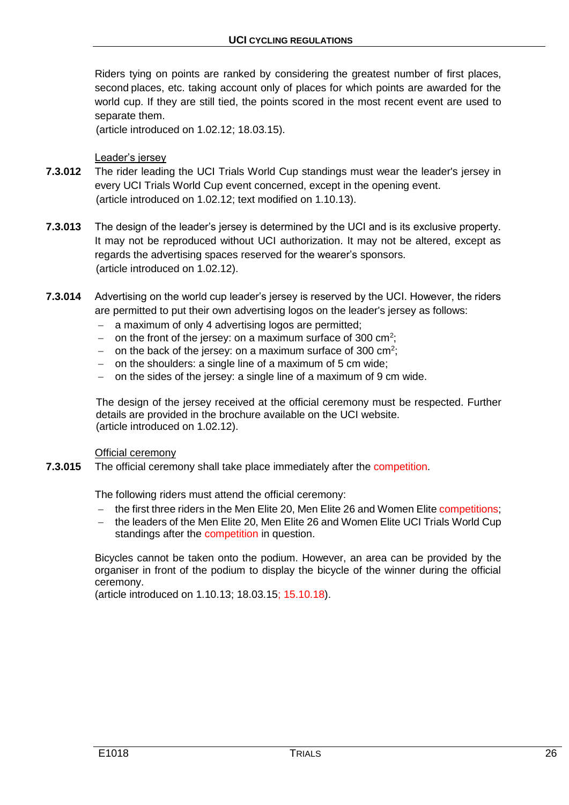Riders tying on points are ranked by considering the greatest number of first places, second places, etc. taking account only of places for which points are awarded for the world cup. If they are still tied, the points scored in the most recent event are used to separate them.

(article introduced on 1.02.12; 18.03.15).

Leader's jersey

- **7.3.012** The rider leading the UCI Trials World Cup standings must wear the leader's jersey in every UCI Trials World Cup event concerned, except in the opening event. (article introduced on 1.02.12; text modified on 1.10.13).
- **7.3.013** The design of the leader's jersey is determined by the UCI and is its exclusive property. It may not be reproduced without UCI authorization. It may not be altered, except as regards the advertising spaces reserved for the wearer's sponsors. (article introduced on 1.02.12).
- **7.3.014** Advertising on the world cup leader's jersey is reserved by the UCI. However, the riders are permitted to put their own advertising logos on the leader's jersey as follows:
	- a maximum of only 4 advertising logos are permitted;
	- $-$  on the front of the jersey: on a maximum surface of 300 cm<sup>2</sup>;
	- $-$  on the back of the jersey: on a maximum surface of 300 cm<sup>2</sup>;
	- on the shoulders: a single line of a maximum of 5 cm wide:
	- on the sides of the jersey: a single line of a maximum of 9 cm wide.

The design of the jersey received at the official ceremony must be respected. Further details are provided in the brochure available on the UCI website. (article introduced on 1.02.12).

Official ceremony

**7.3.015** The official ceremony shall take place immediately after the competition.

The following riders must attend the official ceremony:

- the first three riders in the Men Elite 20, Men Elite 26 and Women Elite competitions;
- the leaders of the Men Elite 20, Men Elite 26 and Women Elite UCI Trials World Cup standings after the competition in question.

Bicycles cannot be taken onto the podium. However, an area can be provided by the organiser in front of the podium to display the bicycle of the winner during the official ceremony.

(article introduced on 1.10.13; 18.03.15; 15.10.18).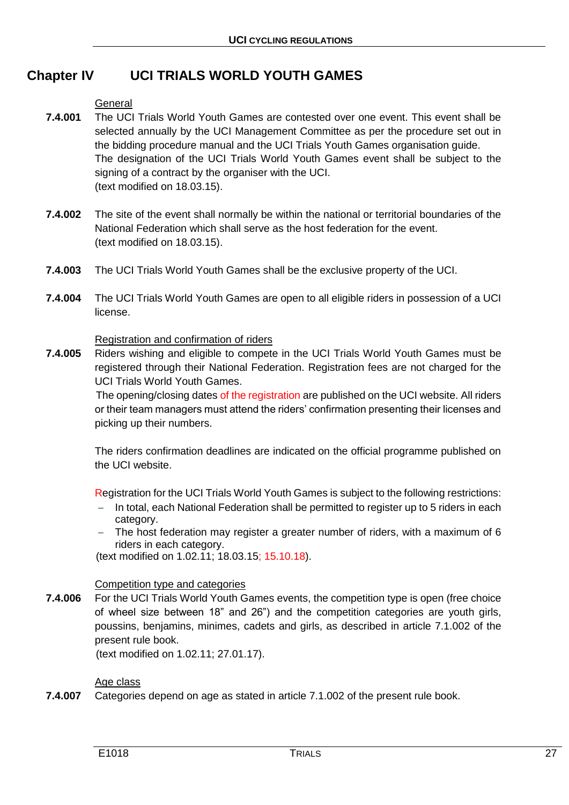# **Chapter IV UCI TRIALS WORLD YOUTH GAMES**

#### **General**

- **7.4.001** The UCI Trials World Youth Games are contested over one event. This event shall be selected annually by the UCI Management Committee as per the procedure set out in the bidding procedure manual and the UCI Trials Youth Games organisation guide. The designation of the UCI Trials World Youth Games event shall be subject to the signing of a contract by the organiser with the UCI. (text modified on 18.03.15).
- **7.4.002** The site of the event shall normally be within the national or territorial boundaries of the National Federation which shall serve as the host federation for the event. (text modified on 18.03.15).
- **7.4.003** The UCI Trials World Youth Games shall be the exclusive property of the UCI.
- **7.4.004** The UCI Trials World Youth Games are open to all eligible riders in possession of a UCI license.

#### Registration and confirmation of riders

**7.4.005** Riders wishing and eligible to compete in the UCI Trials World Youth Games must be registered through their National Federation. Registration fees are not charged for the UCI Trials World Youth Games.

> The opening/closing dates of the registration are published on the UCI website. All riders or their team managers must attend the riders' confirmation presenting their licenses and picking up their numbers.

> The riders confirmation deadlines are indicated on the official programme published on the UCI website.

> Registration for the UCI Trials World Youth Games is subject to the following restrictions:

- In total, each National Federation shall be permitted to register up to 5 riders in each category.
- The host federation may register a greater number of riders, with a maximum of 6 riders in each category.

(text modified on 1.02.11; 18.03.15; 15.10.18).

#### Competition type and categories

**7.4.006** For the UCI Trials World Youth Games events, the competition type is open (free choice of wheel size between 18" and 26") and the competition categories are youth girls, poussins, benjamins, minimes, cadets and girls, as described in article 7.1.002 of the present rule book.

(text modified on 1.02.11; 27.01.17).

#### Age class

**7.4.007** Categories depend on age as stated in article 7.1.002 of the present rule book.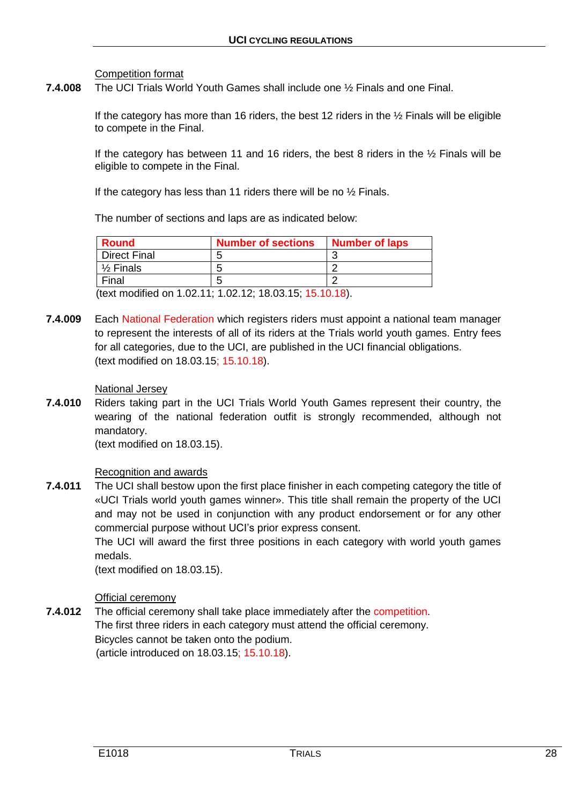Competition format

**7.4.008** The UCI Trials World Youth Games shall include one ½ Finals and one Final.

If the category has more than 16 riders, the best 12 riders in the  $\frac{1}{2}$  Finals will be eligible to compete in the Final.

If the category has between 11 and 16 riders, the best 8 riders in the  $\frac{1}{2}$  Finals will be eligible to compete in the Final.

If the category has less than 11 riders there will be no  $\frac{1}{2}$  Finals.

The number of sections and laps are as indicated below:

| <b>Number of sections</b> | <b>Number of laps</b> |
|---------------------------|-----------------------|
|                           |                       |
|                           |                       |
|                           |                       |
|                           |                       |

(text modified on 1.02.11; 1.02.12; 18.03.15; 15.10.18).

**7.4.009** Each National Federation which registers riders must appoint a national team manager to represent the interests of all of its riders at the Trials world youth games. Entry fees for all categories, due to the UCI, are published in the UCI financial obligations. (text modified on 18.03.15; 15.10.18).

#### National Jersey

**7.4.010** Riders taking part in the UCI Trials World Youth Games represent their country, the wearing of the national federation outfit is strongly recommended, although not mandatory.

(text modified on 18.03.15).

# Recognition and awards

**7.4.011** The UCI shall bestow upon the first place finisher in each competing category the title of «UCI Trials world youth games winner». This title shall remain the property of the UCI and may not be used in conjunction with any product endorsement or for any other commercial purpose without UCI's prior express consent.

> The UCI will award the first three positions in each category with world youth games medals.

(text modified on 18.03.15).

# Official ceremony

**7.4.012** The official ceremony shall take place immediately after the competition. The first three riders in each category must attend the official ceremony. Bicycles cannot be taken onto the podium. (article introduced on 18.03.15; 15.10.18).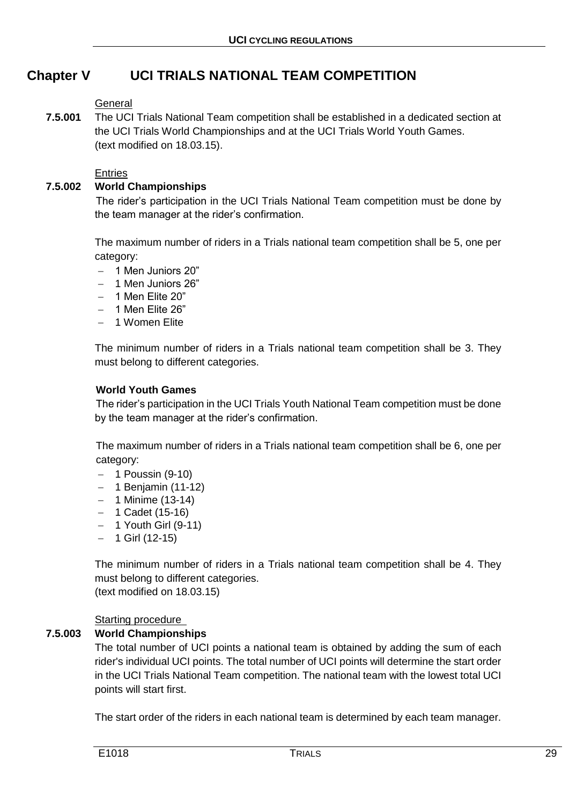# **Chapter V UCI TRIALS NATIONAL TEAM COMPETITION**

## General

**7.5.001** The UCI Trials National Team competition shall be established in a dedicated section at the UCI Trials World Championships and at the UCI Trials World Youth Games. (text modified on 18.03.15).

#### **Entries**

# **7.5.002 World Championships**

The rider's participation in the UCI Trials National Team competition must be done by the team manager at the rider's confirmation.

The maximum number of riders in a Trials national team competition shall be 5, one per category:

- $-$  1 Men Juniors 20"
- $-$  1 Men Juniors  $26"$
- $-1$  Men Elite 20"
- $-1$  Men Elite 26"
- 1 Women Flite

The minimum number of riders in a Trials national team competition shall be 3. They must belong to different categories.

#### **World Youth Games**

The rider's participation in the UCI Trials Youth National Team competition must be done by the team manager at the rider's confirmation.

The maximum number of riders in a Trials national team competition shall be 6, one per category:

- $-$  1 Poussin (9-10)
- $-$  1 Benjamin (11-12)
- $-1$  Minime (13-14)
- $-$  1 Cadet (15-16)
- $-$  1 Youth Girl (9-11)
- $-$  1 Girl (12-15)

The minimum number of riders in a Trials national team competition shall be 4. They must belong to different categories.

(text modified on 18.03.15)

# Starting procedure

# **7.5.003 World Championships**

The total number of UCI points a national team is obtained by adding the sum of each rider's individual UCI points. The total number of UCI points will determine the start order in the UCI Trials National Team competition. The national team with the lowest total UCI points will start first.

The start order of the riders in each national team is determined by each team manager.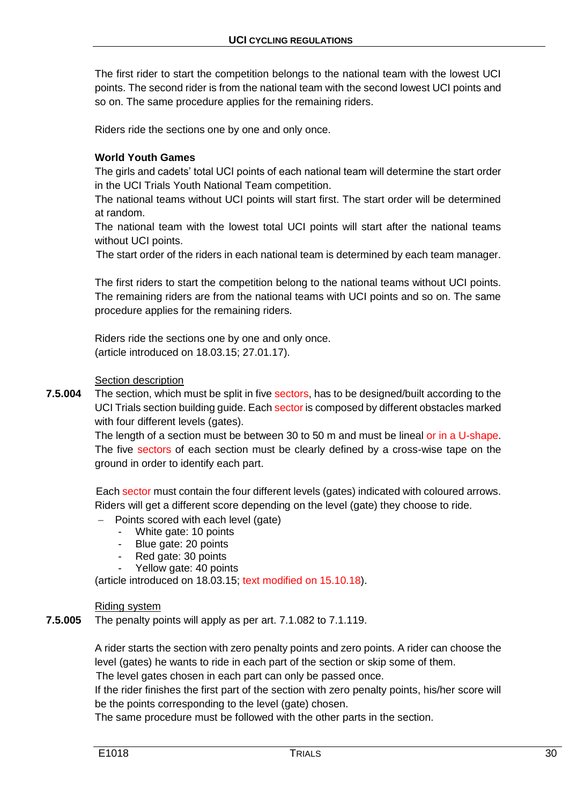The first rider to start the competition belongs to the national team with the lowest UCI points. The second rider is from the national team with the second lowest UCI points and so on. The same procedure applies for the remaining riders.

Riders ride the sections one by one and only once.

#### **World Youth Games**

The girls and cadets' total UCI points of each national team will determine the start order in the UCI Trials Youth National Team competition.

The national teams without UCI points will start first. The start order will be determined at random.

The national team with the lowest total UCI points will start after the national teams without UCI points.

The start order of the riders in each national team is determined by each team manager.

The first riders to start the competition belong to the national teams without UCI points. The remaining riders are from the national teams with UCI points and so on. The same procedure applies for the remaining riders.

Riders ride the sections one by one and only once. (article introduced on 18.03.15; 27.01.17).

#### Section description

**7.5.004** The section, which must be split in five sectors, has to be designed/built according to the UCI Trials section building guide. Each sector is composed by different obstacles marked with four different levels (gates).

> The length of a section must be between 30 to 50 m and must be lineal or in a U-shape. The five sectors of each section must be clearly defined by a cross-wise tape on the ground in order to identify each part.

> Each sector must contain the four different levels (gates) indicated with coloured arrows. Riders will get a different score depending on the level (gate) they choose to ride.

 $-$  Points scored with each level (gate)

- White gate: 10 points
- Blue gate: 20 points
- Red gate: 30 points
- Yellow gate: 40 points

(article introduced on 18.03.15; text modified on 15.10.18).

Riding system

**7.5.005** The penalty points will apply as per art. 7.1.082 to 7.1.119.

A rider starts the section with zero penalty points and zero points. A rider can choose the level (gates) he wants to ride in each part of the section or skip some of them.

The level gates chosen in each part can only be passed once.

If the rider finishes the first part of the section with zero penalty points, his/her score will be the points corresponding to the level (gate) chosen.

The same procedure must be followed with the other parts in the section.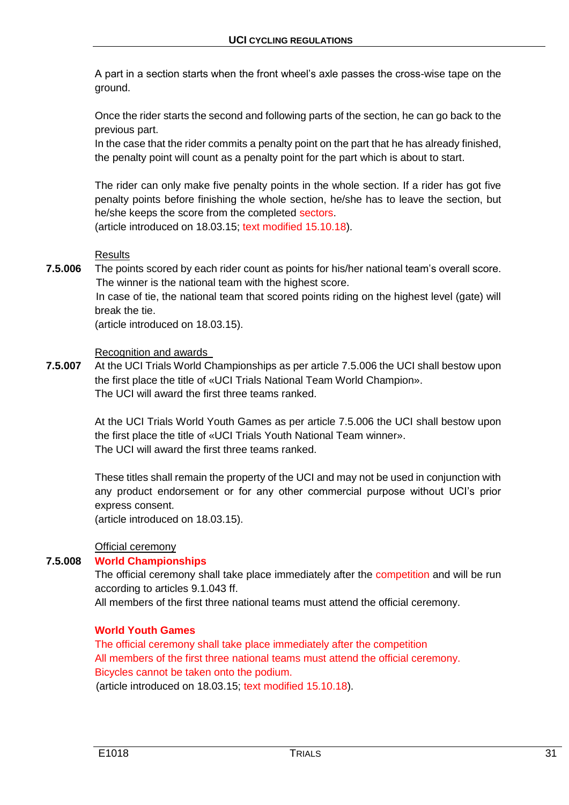A part in a section starts when the front wheel's axle passes the cross-wise tape on the ground.

Once the rider starts the second and following parts of the section, he can go back to the previous part.

In the case that the rider commits a penalty point on the part that he has already finished, the penalty point will count as a penalty point for the part which is about to start.

The rider can only make five penalty points in the whole section. If a rider has got five penalty points before finishing the whole section, he/she has to leave the section, but he/she keeps the score from the completed sectors.

(article introduced on 18.03.15; text modified 15.10.18).

#### **Results**

**7.5.006** The points scored by each rider count as points for his/her national team's overall score. The winner is the national team with the highest score.

> In case of tie, the national team that scored points riding on the highest level (gate) will break the tie.

(article introduced on 18.03.15).

Recognition and awards

**7.5.007** At the UCI Trials World Championships as per article 7.5.006 the UCI shall bestow upon the first place the title of «UCI Trials National Team World Champion». The UCI will award the first three teams ranked.

> At the UCI Trials World Youth Games as per article 7.5.006 the UCI shall bestow upon the first place the title of «UCI Trials Youth National Team winner». The UCI will award the first three teams ranked.

> These titles shall remain the property of the UCI and may not be used in conjunction with any product endorsement or for any other commercial purpose without UCI's prior express consent.

(article introduced on 18.03.15).

Official ceremony

# **7.5.008 World Championships**

The official ceremony shall take place immediately after the competition and will be run according to articles 9.1.043 ff.

All members of the first three national teams must attend the official ceremony.

#### **World Youth Games**

The official ceremony shall take place immediately after the competition All members of the first three national teams must attend the official ceremony. Bicycles cannot be taken onto the podium. (article introduced on 18.03.15; text modified 15.10.18).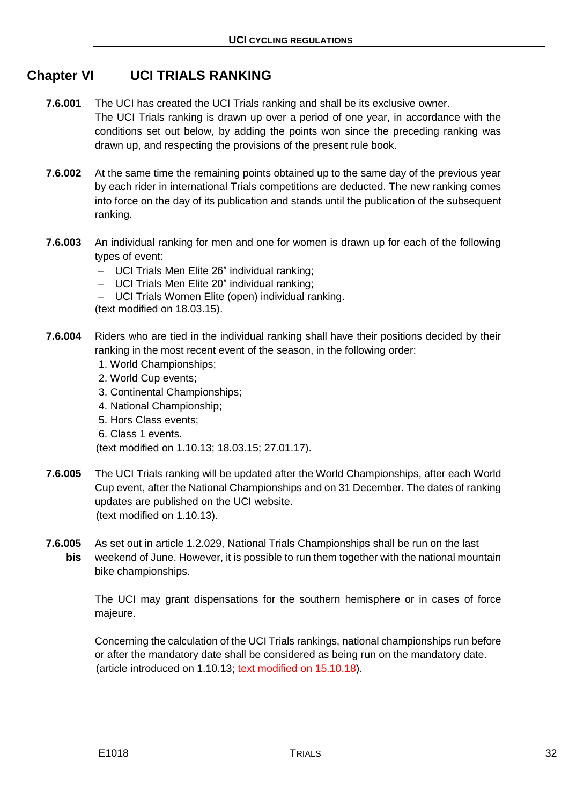# **Chapter VI UCI TRIALS RANKING**

- **7.6.001** The UCI has created the UCI Trials ranking and shall be its exclusive owner. The UCI Trials ranking is drawn up over a period of one year, in accordance with the conditions set out below, by adding the points won since the preceding ranking was drawn up, and respecting the provisions of the present rule book.
- **7.6.002** At the same time the remaining points obtained up to the same day of the previous year by each rider in international Trials competitions are deducted. The new ranking comes into force on the day of its publication and stands until the publication of the subsequent ranking.
- **7.6.003** An individual ranking for men and one for women is drawn up for each of the following types of event:
	- UCI Trials Men Elite 26" individual ranking;
	- UCI Trials Men Elite 20" individual ranking;
	- UCI Trials Women Elite (open) individual ranking.

(text modified on 18.03.15).

- **7.6.004** Riders who are tied in the individual ranking shall have their positions decided by their ranking in the most recent event of the season, in the following order:
	- 1. World Championships;
	- 2. World Cup events;
	- 3. Continental Championships;
	- 4. National Championship;
	- 5. Hors Class events;
	- 6. Class 1 events.

(text modified on 1.10.13; 18.03.15; 27.01.17).

- **7.6.005** The UCI Trials ranking will be updated after the World Championships, after each World Cup event, after the National Championships and on 31 December. The dates of ranking updates are published on the UCI website. (text modified on 1.10.13).
- **7.6.005** As set out in article 1.2.029, National Trials Championships shall be run on the last **bis** weekend of June. However, it is possible to run them together with the national mountain bike championships.

The UCI may grant dispensations for the southern hemisphere or in cases of force majeure.

Concerning the calculation of the UCI Trials rankings, national championships run before or after the mandatory date shall be considered as being run on the mandatory date. (article introduced on 1.10.13; text modified on 15.10.18).